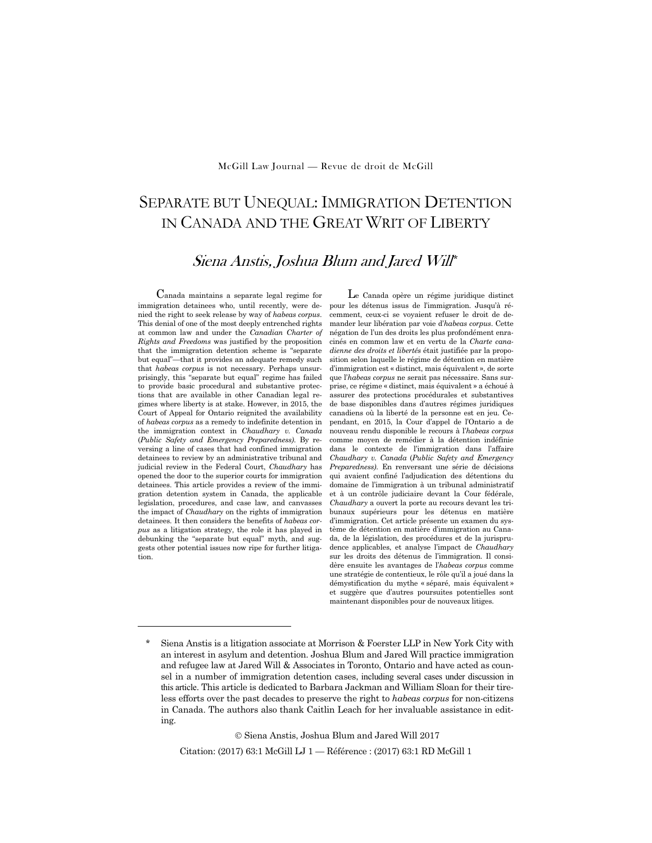### McGill Law Journal — Revue de droit de McGill

# SEPARATE BUT UNEQUAL: IMMIGRATION DETENTION IN CANADA AND THE GREAT WRIT OF LIBERTY

## Siena Anstis, Joshua Blum and Jared Will\*

Canada maintains a separate legal regime for immigration detainees who, until recently, were denied the right to seek release by way of *habeas corpus*. This denial of one of the most deeply entrenched rights at common law and under the *Canadian Charter of Rights and Freedoms* was justified by the proposition that the immigration detention scheme is "separate but equal"—that it provides an adequate remedy such that *habeas corpus* is not necessary. Perhaps unsurprisingly, this "separate but equal" regime has failed to provide basic procedural and substantive protections that are available in other Canadian legal regimes where liberty is at stake. However, in 2015, the Court of Appeal for Ontario reignited the availability of *habeas corpus* as a remedy to indefinite detention in the immigration context in *Chaudhary v. Canada*  (*Public Safety and Emergency Preparedness)*. By reversing a line of cases that had confined immigration detainees to review by an administrative tribunal and judicial review in the Federal Court, *Chaudhary* has opened the door to the superior courts for immigration detainees. This article provides a review of the immigration detention system in Canada, the applicable legislation, procedures, and case law, and canvasses the impact of *Chaudhary* on the rights of immigration detainees. It then considers the benefits of *habeas corpus* as a litigation strategy, the role it has played in debunking the "separate but equal" myth, and suggests other potential issues now ripe for further litigation.

1

Le Canada opère un régime juridique distinct pour les détenus issus de l'immigration. Jusqu'à récemment, ceux-ci se voyaient refuser le droit de demander leur libération par voie d'*habeas corpus*. Cette négation de l'un des droits les plus profondément enracinés en common law et en vertu de la *Charte canadienne des droits et libertés* était justifiée par la proposition selon laquelle le régime de détention en matière d'immigration est « distinct, mais équivalent », de sorte que l'*habeas corpus* ne serait pas nécessaire. Sans surprise, ce régime « distinct, mais équivalent » a échoué à assurer des protections procédurales et substantives de base disponibles dans d'autres régimes juridiques canadiens où la liberté de la personne est en jeu. Cependant, en 2015, la Cour d'appel de l'Ontario a de nouveau rendu disponible le recours à l'*habeas corpus* comme moyen de remédier à la détention indéfinie dans le contexte de l'immigration dans l'affaire *Chaudhary v. Canada* (*Public Safety and Emergency Preparedness)*. En renversant une série de décisions qui avaient confiné l'adjudication des détentions du domaine de l'immigration à un tribunal administratif et à un contrôle judiciaire devant la Cour fédérale, *Chaudhary* a ouvert la porte au recours devant les tribunaux supérieurs pour les détenus en matière d'immigration. Cet article présente un examen du système de détention en matière d'immigration au Canada, de la législation, des procédures et de la jurisprudence applicables, et analyse l'impact de *Chaudhary* sur les droits des détenus de l'immigration. Il considère ensuite les avantages de l'*habeas corpus* comme une stratégie de contentieux, le rôle qu'il a joué dans la démystification du mythe « séparé, mais équivalent » et suggère que d'autres poursuites potentielles sont maintenant disponibles pour de nouveaux litiges.

 $©$  Siena Anstis, Joshua Blum and Jared Will 2017 Citation: (2017) 63:1 McGill LJ 1 — Référence : (2017) 63:1 RD McGill 1

Siena Anstis is a litigation associate at Morrison & Foerster LLP in New York City with an interest in asylum and detention. Joshua Blum and Jared Will practice immigration and refugee law at Jared Will & Associates in Toronto, Ontario and have acted as counsel in a number of immigration detention cases, including several cases under discussion in this article. This article is dedicated to Barbara Jackman and William Sloan for their tireless efforts over the past decades to preserve the right to *habeas corpus* for non-citizens in Canada. The authors also thank Caitlin Leach for her invaluable assistance in editing.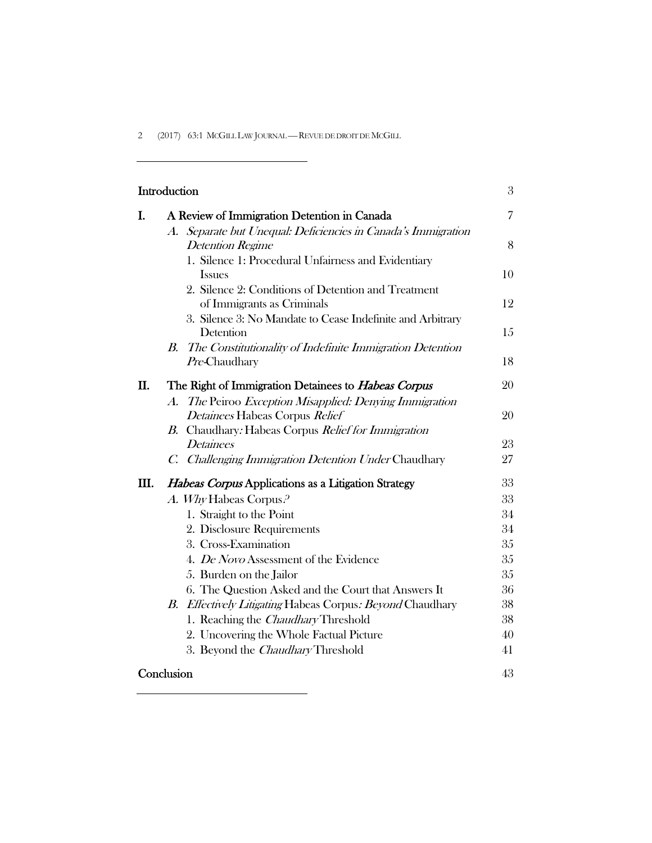2 (2017) 63:1 McGILL LAW JOURNAL — REVUE DE DROIT DE MCGILL

 $\overline{\phantom{0}}$ 

<u> 1989 - Johann Barn, mars ann an t-Amhair an t-Amhair an t-Amhair an t-Amhair an t-Amhair an t-Amhair an t-Amh</u>

÷.

| Introduction |                                                                                          | 3              |
|--------------|------------------------------------------------------------------------------------------|----------------|
| I.           | A Review of Immigration Detention in Canada                                              | $\overline{7}$ |
|              | A. Separate but Unequal: Deficiencies in Canada's Immigration<br><b>Detention Regime</b> | 8              |
|              | 1. Silence 1: Procedural Unfairness and Evidentiary                                      |                |
|              | <b>Issues</b>                                                                            | 10             |
|              | 2. Silence 2: Conditions of Detention and Treatment<br>of Immigrants as Criminals        | 12             |
|              | 3. Silence 3: No Mandate to Cease Indefinite and Arbitrary                               |                |
|              | Detention                                                                                | 15             |
|              | B. The Constitutionality of Indefinite Immigration Detention                             |                |
|              | Pre-Chaudhary                                                                            | 18             |
| II.          | The Right of Immigration Detainees to Habeas Corpus                                      | 20             |
|              | A. The Peiroo Exception Misapplied: Denying Immigration                                  |                |
|              | Detainees Habeas Corpus Relief                                                           | 20             |
|              | B. Chaudhary: Habeas Corpus Relief for Immigration                                       |                |
|              | <b>Detainees</b>                                                                         | 23             |
|              | C. Challenging Immigration Detention Under Chaudhary                                     | 27             |
| Ш.           | <b>Habeas Corpus Applications as a Litigation Strategy</b>                               | 33             |
|              | A. Why Habeas Corpus. <sup>2</sup>                                                       | 33             |
|              | 1. Straight to the Point                                                                 | 34             |
|              | 2. Disclosure Requirements                                                               | 34             |
|              | 3. Cross-Examination                                                                     | 35             |
|              | 4. De Novo Assessment of the Evidence                                                    | 35             |
|              | 5. Burden on the Jailor                                                                  | 35             |
|              | 6. The Question Asked and the Court that Answers It                                      | 36             |
|              | B. Effectively Litigating Habeas Corpus: Beyond Chaudhary                                | 38             |
|              | 1. Reaching the <i>Chaudhary</i> Threshold                                               | 38             |
|              | 2. Uncovering the Whole Factual Picture                                                  | 40             |
|              | 3. Beyond the <i>Chaudhary</i> Threshold                                                 | 41             |
|              | Conclusion                                                                               |                |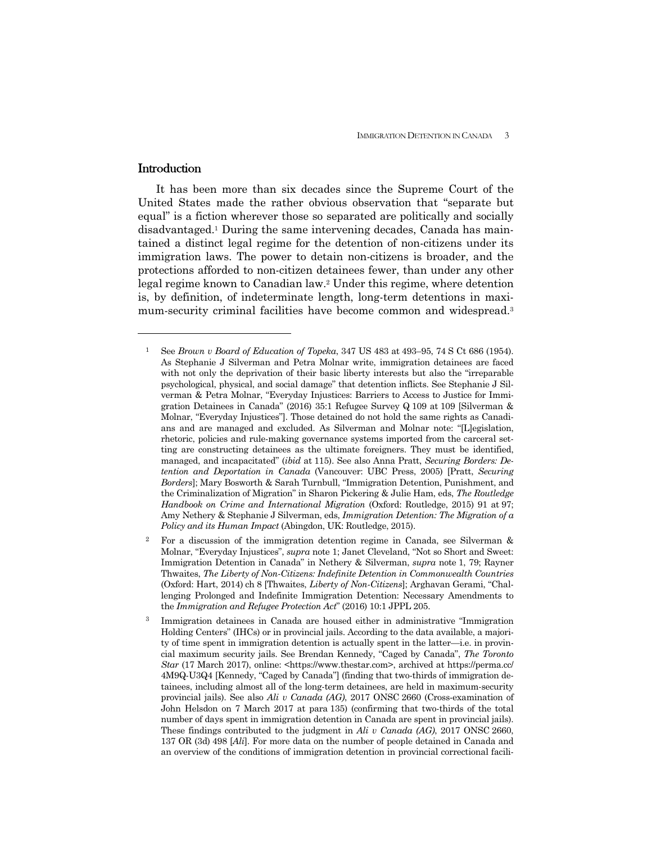## **Introduction**

1

 It has been more than six decades since the Supreme Court of the United States made the rather obvious observation that "separate but equal" is a fiction wherever those so separated are politically and socially disadvantaged.1 During the same intervening decades, Canada has maintained a distinct legal regime for the detention of non-citizens under its immigration laws. The power to detain non-citizens is broader, and the protections afforded to non-citizen detainees fewer, than under any other legal regime known to Canadian law.2 Under this regime, where detention is, by definition, of indeterminate length, long-term detentions in maximum-security criminal facilities have become common and widespread.3

<sup>1</sup> See *Brown v Board of Education of Topeka*, 347 US 483 at 493–95, 74 S Ct 686 (1954). As Stephanie J Silverman and Petra Molnar write, immigration detainees are faced with not only the deprivation of their basic liberty interests but also the "irreparable psychological, physical, and social damage" that detention inflicts. See Stephanie J Silverman & Petra Molnar, "Everyday Injustices: Barriers to Access to Justice for Immigration Detainees in Canada" (2016) 35:1 Refugee Survey Q 109 at 109 [Silverman & Molnar, "Everyday Injustices"]. Those detained do not hold the same rights as Canadians and are managed and excluded. As Silverman and Molnar note: "[L]egislation, rhetoric, policies and rule-making governance systems imported from the carceral setting are constructing detainees as the ultimate foreigners. They must be identified, managed, and incapacitated" (*ibid* at 115). See also Anna Pratt, *Securing Borders: Detention and Deportation in Canada* (Vancouver: UBC Press, 2005) [Pratt, *Securing Borders*]; Mary Bosworth & Sarah Turnbull, "Immigration Detention, Punishment, and the Criminalization of Migration" in Sharon Pickering & Julie Ham, eds, *The Routledge Handbook on Crime and International Migration* (Oxford: Routledge, 2015) 91 at 97; Amy Nethery & Stephanie J Silverman, eds, *Immigration Detention: The Migration of a Policy and its Human Impact* (Abingdon, UK: Routledge, 2015).

<sup>2</sup> For a discussion of the immigration detention regime in Canada, see Silverman & Molnar, "Everyday Injustices", *supra* note 1; Janet Cleveland, "Not so Short and Sweet: Immigration Detention in Canada" in Nethery & Silverman, *supra* note 1, 79; Rayner Thwaites, *The Liberty of Non-Citizens: Indefinite Detention in Commonwealth Countries*  (Oxford: Hart, 2014) ch 8 [Thwaites, *Liberty of Non-Citizens*]; Arghavan Gerami, "Challenging Prolonged and Indefinite Immigration Detention: Necessary Amendments to the *Immigration and Refugee Protection Act*" (2016) 10:1 JPPL 205.

<sup>3</sup> Immigration detainees in Canada are housed either in administrative "Immigration Holding Centers" (IHCs) or in provincial jails. According to the data available, a majority of time spent in immigration detention is actually spent in the latter—i.e. in provincial maximum security jails. See Brendan Kennedy, "Caged by Canada", *The Toronto Star* (17 March 2017), online: <https://www.thestar.com>, archived at https://perma.cc/ 4M9Q-U3Q4 [Kennedy, "Caged by Canada"] (finding that two-thirds of immigration detainees, including almost all of the long-term detainees, are held in maximum-security provincial jails). See also *Ali v Canada (AG)*, 2017 ONSC 2660 (Cross-examination of John Helsdon on 7 March 2017 at para 135) (confirming that two-thirds of the total number of days spent in immigration detention in Canada are spent in provincial jails). These findings contributed to the judgment in *Ali v Canada (AG)*, 2017 ONSC 2660, 137 OR (3d) 498 [*Ali*]. For more data on the number of people detained in Canada and an overview of the conditions of immigration detention in provincial correctional facili-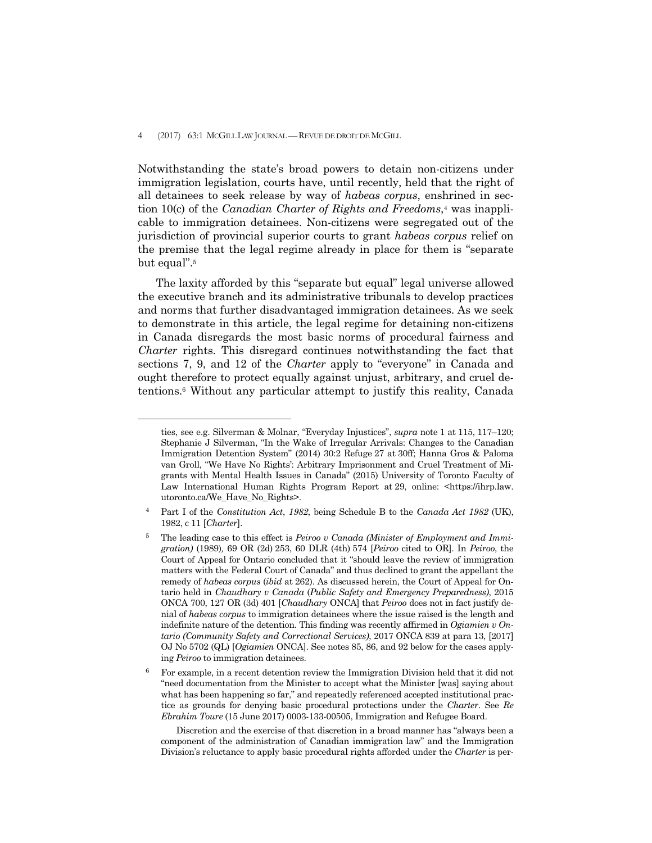#### 4 (2017) 63:1 MCGILL LAW JOURNAL — REVUE DE DROIT DE MCGILL

 $\overline{a}$ 

Notwithstanding the state's broad powers to detain non-citizens under immigration legislation, courts have, until recently, held that the right of all detainees to seek release by way of *habeas corpus*, enshrined in section 10(c) of the *Canadian Charter of Rights and Freedoms*,<sup>4</sup> was inapplicable to immigration detainees. Non-citizens were segregated out of the jurisdiction of provincial superior courts to grant *habeas corpus* relief on the premise that the legal regime already in place for them is "separate but equal".5

 The laxity afforded by this "separate but equal" legal universe allowed the executive branch and its administrative tribunals to develop practices and norms that further disadvantaged immigration detainees. As we seek to demonstrate in this article, the legal regime for detaining non-citizens in Canada disregards the most basic norms of procedural fairness and *Charter* rights. This disregard continues notwithstanding the fact that sections 7, 9, and 12 of the *Charter* apply to "everyone" in Canada and ought therefore to protect equally against unjust, arbitrary, and cruel detentions.6 Without any particular attempt to justify this reality, Canada

 Discretion and the exercise of that discretion in a broad manner has "always been a component of the administration of Canadian immigration law" and the Immigration Division's reluctance to apply basic procedural rights afforded under the *Charter* is per-

ties, see e.g. Silverman & Molnar, "Everyday Injustices", *supra* note 1 at 115, 117–120; Stephanie J Silverman, "In the Wake of Irregular Arrivals: Changes to the Canadian Immigration Detention System" (2014) 30:2 Refuge 27 at 30ff; Hanna Gros & Paloma van Groll, "We Have No Rights': Arbitrary Imprisonment and Cruel Treatment of Migrants with Mental Health Issues in Canada" (2015) University of Toronto Faculty of Law International Human Rights Program Report at 29, online: <https://ihrp.law. utoronto.ca/We\_Have\_No\_Rights>.

<sup>4</sup> Part I of the *Constitution Act*, *1982*, being Schedule B to the *Canada Act 1982* (UK), 1982, c 11 [*Charter*].

<sup>5</sup> The leading case to this effect is *Peiroo v Canada (Minister of Employment and Immigration)* (1989)*,* 69 OR (2d) 253, 60 DLR (4th) 574 [*Peiroo* cited to OR]. In *Peiroo*, the Court of Appeal for Ontario concluded that it "should leave the review of immigration matters with the Federal Court of Canada" and thus declined to grant the appellant the remedy of *habeas corpus* (*ibid* at 262). As discussed herein, the Court of Appeal for Ontario held in *Chaudhary v Canada* (*Public Safety and Emergency Preparedness)*, 2015 ONCA 700, 127 OR (3d) 401 [*Chaudhary* ONCA] that *Peiroo* does not in fact justify denial of *habeas corpus* to immigration detainees where the issue raised is the length and indefinite nature of the detention. This finding was recently affirmed in *Ogiamien v Ontario (Community Safety and Correctional Services)*, 2017 ONCA 839 at para 13, [2017] OJ No 5702 (QL) [*Ogiamien* ONCA]. See notes 85, 86, and 92 below for the cases applying *Peiroo* to immigration detainees.

<sup>6</sup> For example, in a recent detention review the Immigration Division held that it did not "need documentation from the Minister to accept what the Minister [was] saying about what has been happening so far," and repeatedly referenced accepted institutional practice as grounds for denying basic procedural protections under the *Charter*. See *Re Ebrahim Toure* (15 June 2017) 0003-133-00505, Immigration and Refugee Board.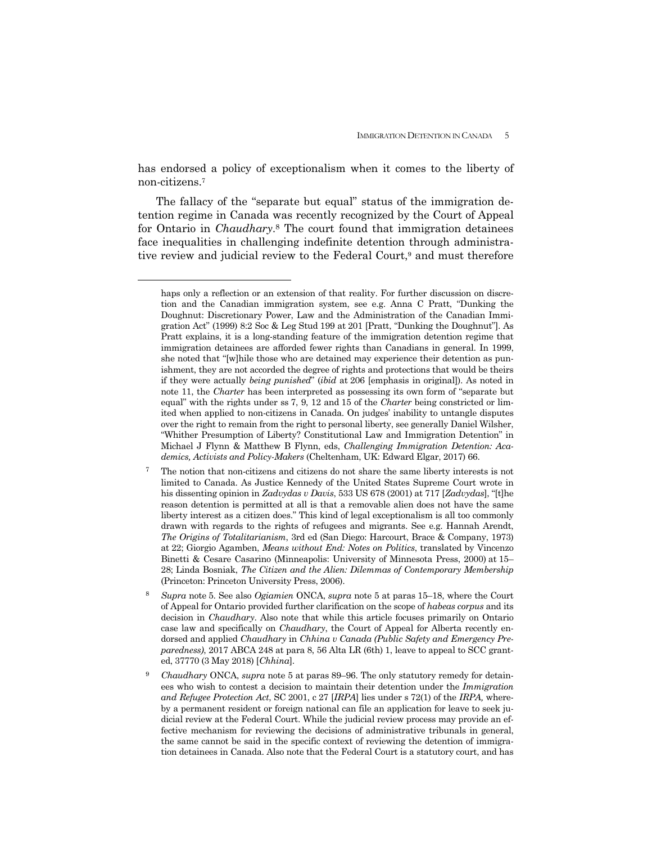has endorsed a policy of exceptionalism when it comes to the liberty of non-citizens.7

The fallacy of the "separate but equal" status of the immigration detention regime in Canada was recently recognized by the Court of Appeal for Ontario in *Chaudhary*.8 The court found that immigration detainees face inequalities in challenging indefinite detention through administrative review and judicial review to the Federal Court,<sup>9</sup> and must therefore

 $\overline{a}$ 

- 7 The notion that non-citizens and citizens do not share the same liberty interests is not limited to Canada. As Justice Kennedy of the United States Supreme Court wrote in his dissenting opinion in *Zadvydas v Davis*, 533 US 678 (2001) at 717 [*Zadvydas*], "[t]he reason detention is permitted at all is that a removable alien does not have the same liberty interest as a citizen does." This kind of legal exceptionalism is all too commonly drawn with regards to the rights of refugees and migrants. See e.g. Hannah Arendt, *The Origins of Totalitarianism*, 3rd ed (San Diego: Harcourt, Brace & Company, 1973) at 22; Giorgio Agamben, *Means without End: Notes on Politics*, translated by Vincenzo Binetti & Cesare Casarino (Minneapolis: University of Minnesota Press, 2000) at 15– 28; Linda Bosniak, *The Citizen and the Alien: Dilemmas of Contemporary Membership*  (Princeton: Princeton University Press, 2006).
- <sup>8</sup> *Supra* note 5. See also *Ogiamien* ONCA, *supra* note 5 at paras 15–18, where the Court of Appeal for Ontario provided further clarification on the scope of *habeas corpus* and its decision in *Chaudhary*. Also note that while this article focuses primarily on Ontario case law and specifically on *Chaudhary*, the Court of Appeal for Alberta recently endorsed and applied *Chaudhary* in *Chhina v Canada (Public Safety and Emergency Preparedness)*, 2017 ABCA 248 at para 8, 56 Alta LR (6th) 1, leave to appeal to SCC granted, 37770 (3 May 2018) [*Chhina*].
- 9 *Chaudhary* ONCA, *supra* note 5 at paras 89–96. The only statutory remedy for detainees who wish to contest a decision to maintain their detention under the *Immigration and Refugee Protection Act*, SC 2001, c 27 [*IRPA*] lies under s 72(1) of the *IRPA,* whereby a permanent resident or foreign national can file an application for leave to seek judicial review at the Federal Court. While the judicial review process may provide an effective mechanism for reviewing the decisions of administrative tribunals in general, the same cannot be said in the specific context of reviewing the detention of immigration detainees in Canada. Also note that the Federal Court is a statutory court, and has

haps only a reflection or an extension of that reality. For further discussion on discretion and the Canadian immigration system, see e.g. Anna C Pratt, "Dunking the Doughnut: Discretionary Power, Law and the Administration of the Canadian Immigration Act" (1999) 8:2 Soc & Leg Stud 199 at 201 [Pratt, "Dunking the Doughnut"]. As Pratt explains, it is a long-standing feature of the immigration detention regime that immigration detainees are afforded fewer rights than Canadians in general. In 1999, she noted that "[w]hile those who are detained may experience their detention as punishment, they are not accorded the degree of rights and protections that would be theirs if they were actually *being punished*" (*ibid* at 206 [emphasis in original]). As noted in note 11, the *Charter* has been interpreted as possessing its own form of "separate but equal" with the rights under ss 7, 9, 12 and 15 of the *Charter* being constricted or limited when applied to non-citizens in Canada. On judges' inability to untangle disputes over the right to remain from the right to personal liberty, see generally Daniel Wilsher, "Whither Presumption of Liberty? Constitutional Law and Immigration Detention" in Michael J Flynn & Matthew B Flynn, eds, *Challenging Immigration Detention: Academics, Activists and Policy-Makers* (Cheltenham, UK: Edward Elgar, 2017) 66.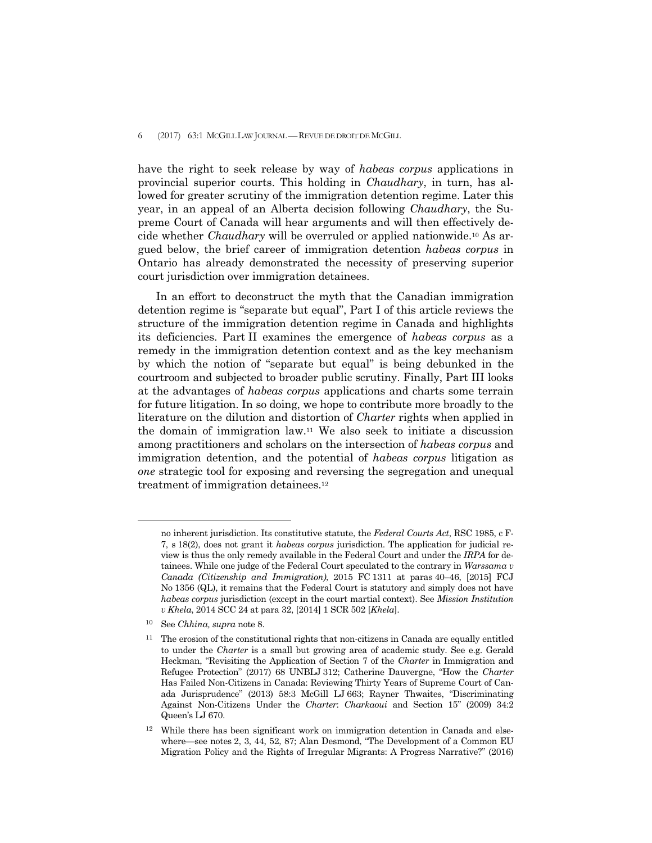have the right to seek release by way of *habeas corpus* applications in provincial superior courts. This holding in *Chaudhary*, in turn, has allowed for greater scrutiny of the immigration detention regime. Later this year, in an appeal of an Alberta decision following *Chaudhary*, the Supreme Court of Canada will hear arguments and will then effectively decide whether *Chaudhary* will be overruled or applied nationwide.10 As argued below, the brief career of immigration detention *habeas corpus* in Ontario has already demonstrated the necessity of preserving superior court jurisdiction over immigration detainees.

 In an effort to deconstruct the myth that the Canadian immigration detention regime is "separate but equal", Part I of this article reviews the structure of the immigration detention regime in Canada and highlights its deficiencies. Part II examines the emergence of *habeas corpus* as a remedy in the immigration detention context and as the key mechanism by which the notion of "separate but equal" is being debunked in the courtroom and subjected to broader public scrutiny. Finally, Part III looks at the advantages of *habeas corpus* applications and charts some terrain for future litigation. In so doing, we hope to contribute more broadly to the literature on the dilution and distortion of *Charter* rights when applied in the domain of immigration law.<sup>11</sup> We also seek to initiate a discussion among practitioners and scholars on the intersection of *habeas corpus* and immigration detention, and the potential of *habeas corpus* litigation as *one* strategic tool for exposing and reversing the segregation and unequal treatment of immigration detainees.12

 $\overline{a}$ 

no inherent jurisdiction. Its constitutive statute, the *Federal Courts Act*, RSC 1985, c F-7, s 18(2), does not grant it *habeas corpus* jurisdiction. The application for judicial review is thus the only remedy available in the Federal Court and under the *IRPA* for detainees. While one judge of the Federal Court speculated to the contrary in *Warssama v Canada (Citizenship and Immigration)*, 2015 FC 1311 at paras 40–46, [2015] FCJ No 1356 (QL), it remains that the Federal Court is statutory and simply does not have *habeas corpus* jurisdiction (except in the court martial context). See *Mission Institution v Khela*, 2014 SCC 24 at para 32, [2014] 1 SCR 502 [*Khela*].

<sup>10</sup> See *Chhina, supra* note 8.

<sup>&</sup>lt;sup>11</sup> The erosion of the constitutional rights that non-citizens in Canada are equally entitled to under the *Charter* is a small but growing area of academic study. See e.g. Gerald Heckman, "Revisiting the Application of Section 7 of the *Charter* in Immigration and Refugee Protection" (2017) 68 UNBLJ 312; Catherine Dauvergne, "How the *Charter*  Has Failed Non-Citizens in Canada: Reviewing Thirty Years of Supreme Court of Canada Jurisprudence" (2013) 58:3 McGill LJ 663; Rayner Thwaites, "Discriminating Against Non-Citizens Under the *Charter*: *Charkaoui* and Section 15" (2009) 34:2 Queen's LJ 670.

<sup>&</sup>lt;sup>12</sup> While there has been significant work on immigration detention in Canada and elsewhere—see notes 2, 3, 44, 52, 87; Alan Desmond, "The Development of a Common EU Migration Policy and the Rights of Irregular Migrants: A Progress Narrative?" (2016)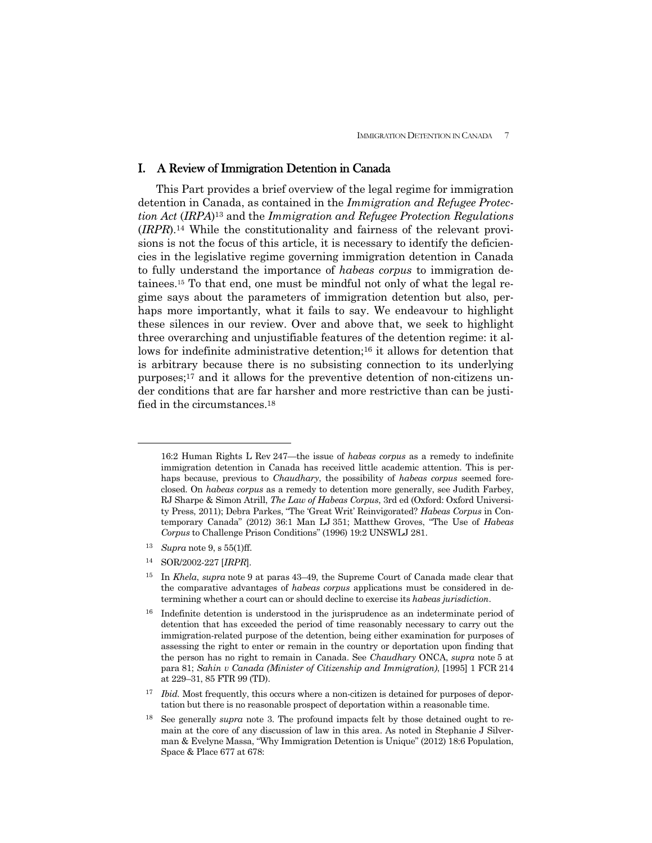## I. A Review of Immigration Detention in Canada

 This Part provides a brief overview of the legal regime for immigration detention in Canada, as contained in the *Immigration and Refugee Protection Act* (*IRPA*)13 and the *Immigration and Refugee Protection Regulations*  (*IRPR*).14 While the constitutionality and fairness of the relevant provisions is not the focus of this article, it is necessary to identify the deficiencies in the legislative regime governing immigration detention in Canada to fully understand the importance of *habeas corpus* to immigration detainees.15 To that end, one must be mindful not only of what the legal regime says about the parameters of immigration detention but also, perhaps more importantly, what it fails to say. We endeavour to highlight these silences in our review. Over and above that, we seek to highlight three overarching and unjustifiable features of the detention regime: it allows for indefinite administrative detention;16 it allows for detention that is arbitrary because there is no subsisting connection to its underlying purposes;17 and it allows for the preventive detention of non-citizens under conditions that are far harsher and more restrictive than can be justified in the circumstances.18

<sup>13</sup> *Supra* note 9, s 55(1)ff.

 $\overline{a}$ 

14 SOR/2002-227 [*IRPR*].

<sup>16:2</sup> Human Rights L Rev 247—the issue of *habeas corpus* as a remedy to indefinite immigration detention in Canada has received little academic attention. This is perhaps because, previous to *Chaudhary*, the possibility of *habeas corpus* seemed foreclosed. On *habeas corpus* as a remedy to detention more generally, see Judith Farbey, RJ Sharpe & Simon Atrill, *The Law of Habeas Corpus*, 3rd ed (Oxford: Oxford University Press, 2011); Debra Parkes, "The 'Great Writ' Reinvigorated? *Habeas Corpus* in Contemporary Canada" (2012) 36:1 Man LJ 351; Matthew Groves, "The Use of *Habeas Corpus* to Challenge Prison Conditions" (1996) 19:2 UNSWLJ 281.

<sup>15</sup> In *Khela*, *supra* note 9 at paras 43–49, the Supreme Court of Canada made clear that the comparative advantages of *habeas corpus* applications must be considered in determining whether a court can or should decline to exercise its *habeas jurisdiction*.

<sup>&</sup>lt;sup>16</sup> Indefinite detention is understood in the jurisprudence as an indeterminate period of detention that has exceeded the period of time reasonably necessary to carry out the immigration-related purpose of the detention, being either examination for purposes of assessing the right to enter or remain in the country or deportation upon finding that the person has no right to remain in Canada. See *Chaudhary* ONCA, *supra* note 5 at para 81; *Sahin v Canada (Minister of Citizenship and Immigration)*, [1995] 1 FCR 214 at 229–31, 85 FTR 99 (TD).

<sup>&</sup>lt;sup>17</sup> *Ibid.* Most frequently, this occurs where a non-citizen is detained for purposes of deportation but there is no reasonable prospect of deportation within a reasonable time.

<sup>18</sup> See generally *supra* note 3. The profound impacts felt by those detained ought to remain at the core of any discussion of law in this area. As noted in Stephanie J Silverman & Evelyne Massa, "Why Immigration Detention is Unique" (2012) 18:6 Population, Space & Place 677 at 678: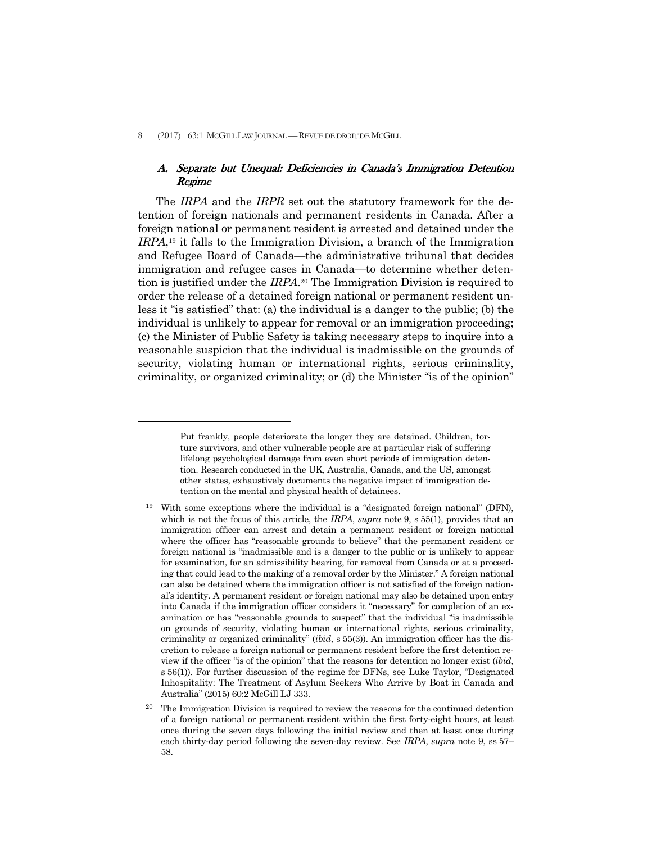$\overline{a}$ 

## A. Separate but Unequal: Deficiencies in Canada's Immigration Detention Regime

 The *IRPA* and the *IRPR* set out the statutory framework for the detention of foreign nationals and permanent residents in Canada. After a foreign national or permanent resident is arrested and detained under the *IRPA*,19 it falls to the Immigration Division, a branch of the Immigration and Refugee Board of Canada—the administrative tribunal that decides immigration and refugee cases in Canada—to determine whether detention is justified under the *IRPA*.20 The Immigration Division is required to order the release of a detained foreign national or permanent resident unless it "is satisfied" that: (a) the individual is a danger to the public; (b) the individual is unlikely to appear for removal or an immigration proceeding; (c) the Minister of Public Safety is taking necessary steps to inquire into a reasonable suspicion that the individual is inadmissible on the grounds of security, violating human or international rights, serious criminality, criminality, or organized criminality; or (d) the Minister "is of the opinion"

Put frankly, people deteriorate the longer they are detained. Children, torture survivors, and other vulnerable people are at particular risk of suffering lifelong psychological damage from even short periods of immigration detention. Research conducted in the UK, Australia, Canada, and the US, amongst other states, exhaustively documents the negative impact of immigration detention on the mental and physical health of detainees.

<sup>19</sup> With some exceptions where the individual is a "designated foreign national" (DFN), which is not the focus of this article, the *IRPA*, *supra* note 9, s 55(1), provides that an immigration officer can arrest and detain a permanent resident or foreign national where the officer has "reasonable grounds to believe" that the permanent resident or foreign national is "inadmissible and is a danger to the public or is unlikely to appear for examination, for an admissibility hearing, for removal from Canada or at a proceeding that could lead to the making of a removal order by the Minister." A foreign national can also be detained where the immigration officer is not satisfied of the foreign national's identity. A permanent resident or foreign national may also be detained upon entry into Canada if the immigration officer considers it "necessary" for completion of an examination or has "reasonable grounds to suspect" that the individual "is inadmissible on grounds of security, violating human or international rights, serious criminality, criminality or organized criminality" (*ibid*, s 55(3)). An immigration officer has the discretion to release a foreign national or permanent resident before the first detention review if the officer "is of the opinion" that the reasons for detention no longer exist (*ibid*, s 56(1)). For further discussion of the regime for DFNs, see Luke Taylor, "Designated Inhospitality: The Treatment of Asylum Seekers Who Arrive by Boat in Canada and Australia" (2015) 60:2 McGill LJ 333.

<sup>&</sup>lt;sup>20</sup> The Immigration Division is required to review the reasons for the continued detention of a foreign national or permanent resident within the first forty-eight hours, at least once during the seven days following the initial review and then at least once during each thirty-day period following the seven-day review. See *IRPA*, *supra* note 9, ss 57– 58.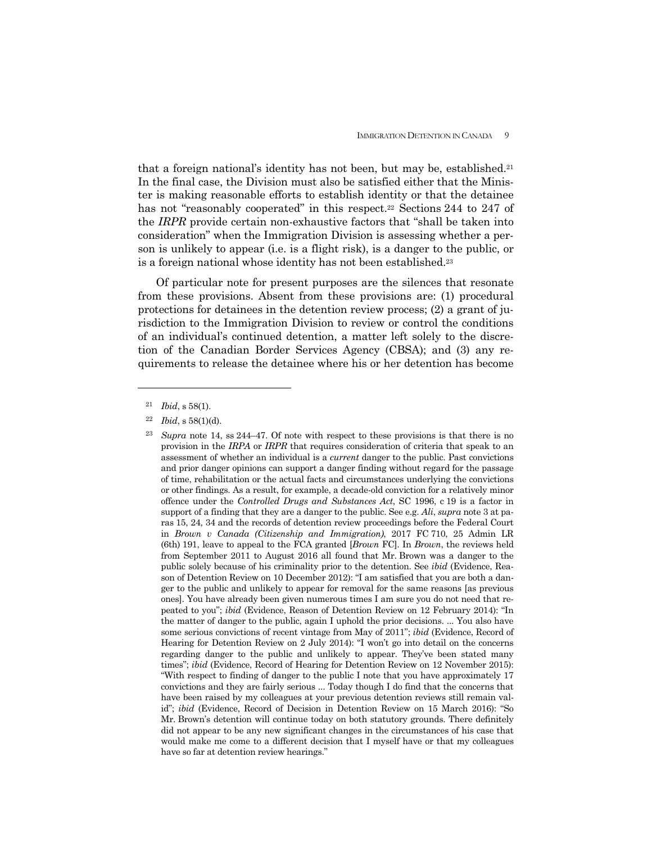that a foreign national's identity has not been, but may be, established.<sup>21</sup> In the final case, the Division must also be satisfied either that the Minister is making reasonable efforts to establish identity or that the detainee has not "reasonably cooperated" in this respect.<sup>22</sup> Sections 244 to 247 of the *IRPR* provide certain non-exhaustive factors that "shall be taken into consideration" when the Immigration Division is assessing whether a person is unlikely to appear (i.e. is a flight risk), is a danger to the public, or is a foreign national whose identity has not been established.23

 Of particular note for present purposes are the silences that resonate from these provisions. Absent from these provisions are: (1) procedural protections for detainees in the detention review process; (2) a grant of jurisdiction to the Immigration Division to review or control the conditions of an individual's continued detention, a matter left solely to the discretion of the Canadian Border Services Agency (CBSA); and (3) any requirements to release the detainee where his or her detention has become

<sup>21</sup> *Ibid*, s 58(1).

<sup>22</sup> *Ibid*, s 58(1)(d).

<sup>23</sup> *Supra* note 14, ss 244–47. Of note with respect to these provisions is that there is no provision in the *IRPA* or *IRPR* that requires consideration of criteria that speak to an assessment of whether an individual is a *current* danger to the public. Past convictions and prior danger opinions can support a danger finding without regard for the passage of time, rehabilitation or the actual facts and circumstances underlying the convictions or other findings. As a result, for example, a decade-old conviction for a relatively minor offence under the *Controlled Drugs and Substances Act*, SC 1996, c 19 is a factor in support of a finding that they are a danger to the public. See e.g. *Ali*, *supra* note 3 at paras 15, 24, 34 and the records of detention review proceedings before the Federal Court in *Brown v Canada (Citizenship and Immigration)*, 2017 FC 710, 25 Admin LR (6th) 191, leave to appeal to the FCA granted [*Brown* FC]. In *Brown*, the reviews held from September 2011 to August 2016 all found that Mr. Brown was a danger to the public solely because of his criminality prior to the detention. See *ibid* (Evidence, Reason of Detention Review on 10 December 2012): "I am satisfied that you are both a danger to the public and unlikely to appear for removal for the same reasons [as previous ones]. You have already been given numerous times I am sure you do not need that repeated to you"; *ibid* (Evidence, Reason of Detention Review on 12 February 2014): "In the matter of danger to the public, again I uphold the prior decisions. ... You also have some serious convictions of recent vintage from May of 2011"; *ibid* (Evidence, Record of Hearing for Detention Review on 2 July 2014): "I won't go into detail on the concerns regarding danger to the public and unlikely to appear. They've been stated many times"; *ibid* (Evidence, Record of Hearing for Detention Review on 12 November 2015): "With respect to finding of danger to the public I note that you have approximately 17 convictions and they are fairly serious ... Today though I do find that the concerns that have been raised by my colleagues at your previous detention reviews still remain valid"; *ibid* (Evidence, Record of Decision in Detention Review on 15 March 2016): "So Mr. Brown's detention will continue today on both statutory grounds. There definitely did not appear to be any new significant changes in the circumstances of his case that would make me come to a different decision that I myself have or that my colleagues have so far at detention review hearings."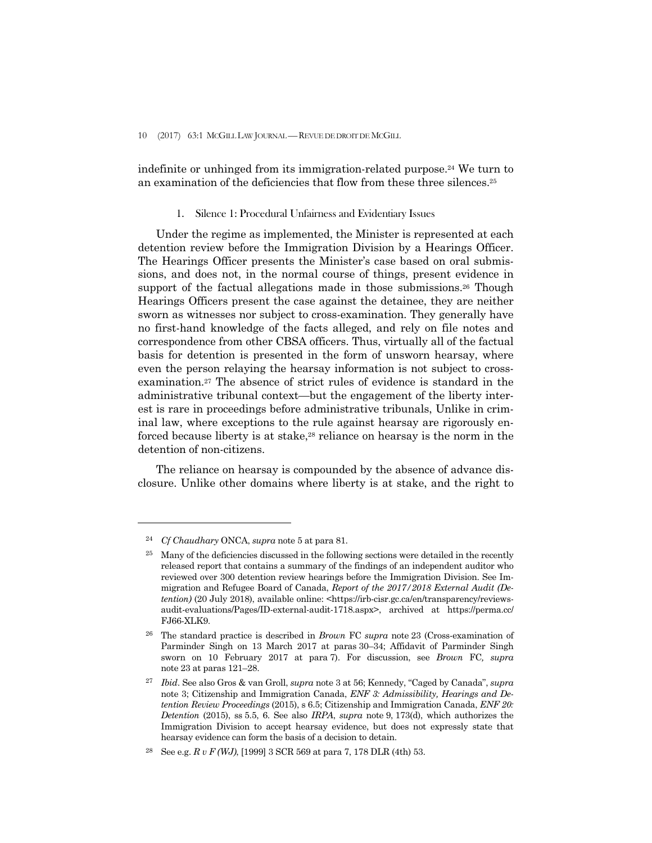10 (2017) 63:1 MCGILL LAW JOURNAL —REVUE DE DROIT DE MCGILL

indefinite or unhinged from its immigration-related purpose.24 We turn to an examination of the deficiencies that flow from these three silences.25

### 1. Silence 1: Procedural Unfairness and Evidentiary Issues

 Under the regime as implemented, the Minister is represented at each detention review before the Immigration Division by a Hearings Officer. The Hearings Officer presents the Minister's case based on oral submissions, and does not, in the normal course of things, present evidence in support of the factual allegations made in those submissions.26 Though Hearings Officers present the case against the detainee, they are neither sworn as witnesses nor subject to cross-examination. They generally have no first-hand knowledge of the facts alleged, and rely on file notes and correspondence from other CBSA officers. Thus, virtually all of the factual basis for detention is presented in the form of unsworn hearsay, where even the person relaying the hearsay information is not subject to crossexamination.27 The absence of strict rules of evidence is standard in the administrative tribunal context—but the engagement of the liberty interest is rare in proceedings before administrative tribunals, Unlike in criminal law, where exceptions to the rule against hearsay are rigorously enforced because liberty is at stake,<sup>28</sup> reliance on hearsay is the norm in the detention of non-citizens.

 The reliance on hearsay is compounded by the absence of advance disclosure. Unlike other domains where liberty is at stake, and the right to

<sup>24</sup> *Cf Chaudhary* ONCA, *supra* note 5 at para 81.

<sup>&</sup>lt;sup>25</sup> Many of the deficiencies discussed in the following sections were detailed in the recently released report that contains a summary of the findings of an independent auditor who reviewed over 300 detention review hearings before the Immigration Division. See Immigration and Refugee Board of Canada, *Report of the 2017/2018 External Audit (Detention)* (20 July 2018), available online: <https://irb-cisr.gc.ca/en/transparency/reviewsaudit-evaluations/Pages/ID-external-audit-1718.aspx>, archived at https://perma.cc/ FJ66-XLK9.

<sup>26</sup> The standard practice is described in *Brown* FC *supra* note 23 (Cross-examination of Parminder Singh on 13 March 2017 at paras 30–34; Affidavit of Parminder Singh sworn on 10 February 2017 at para 7). For discussion, see *Brown* FC*, supra*  note 23 at paras 121–28.

<sup>27</sup> *Ibid*. See also Gros & van Groll, *supra* note 3 at 56; Kennedy, "Caged by Canada", *supra*  note 3; Citizenship and Immigration Canada, *ENF 3: Admissibility, Hearings and Detention Review Proceedings* (2015), s 6.5; Citizenship and Immigration Canada, *ENF 20: Detention* (2015), ss 5.5, 6. See also *IRPA*, *supra* note 9, 173(d), which authorizes the Immigration Division to accept hearsay evidence, but does not expressly state that hearsay evidence can form the basis of a decision to detain.

<sup>28</sup> See e.g. *R v F (WJ)*, [1999] 3 SCR 569 at para 7, 178 DLR (4th) 53.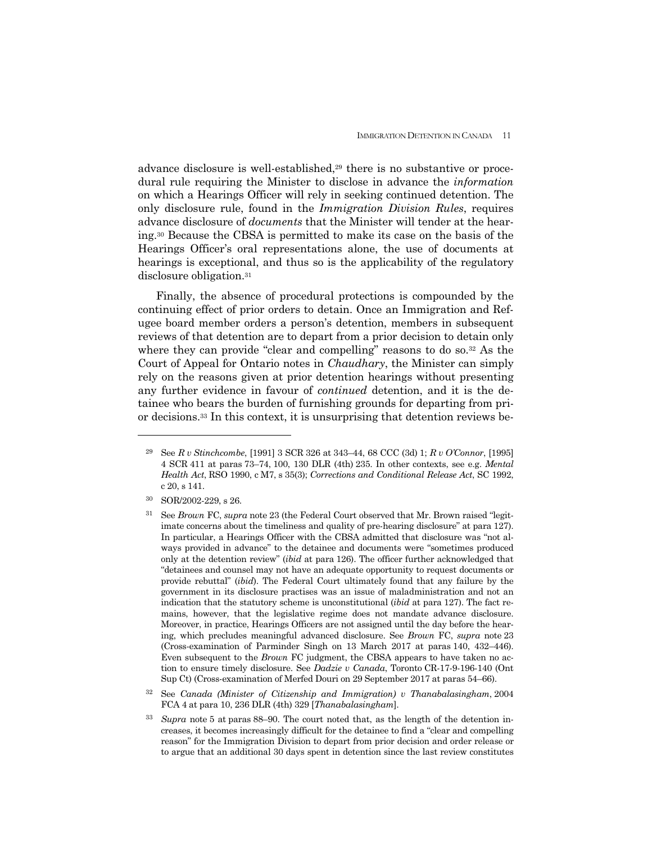advance disclosure is well-established,29 there is no substantive or procedural rule requiring the Minister to disclose in advance the *information* on which a Hearings Officer will rely in seeking continued detention. The only disclosure rule, found in the *Immigration Division Rules*, requires advance disclosure of *documents* that the Minister will tender at the hearing.30 Because the CBSA is permitted to make its case on the basis of the Hearings Officer's oral representations alone, the use of documents at hearings is exceptional, and thus so is the applicability of the regulatory disclosure obligation.<sup>31</sup>

 Finally, the absence of procedural protections is compounded by the continuing effect of prior orders to detain. Once an Immigration and Refugee board member orders a person's detention, members in subsequent reviews of that detention are to depart from a prior decision to detain only where they can provide "clear and compelling" reasons to do so.<sup>32</sup> As the Court of Appeal for Ontario notes in *Chaudhary*, the Minister can simply rely on the reasons given at prior detention hearings without presenting any further evidence in favour of *continued* detention, and it is the detainee who bears the burden of furnishing grounds for departing from prior decisions.33 In this context, it is unsurprising that detention reviews be-

<sup>29</sup> See *R v Stinchcombe*, [1991] 3 SCR 326 at 343–44, 68 CCC (3d) 1; *R v O'Connor*, [1995] 4 SCR 411 at paras 73–74, 100, 130 DLR (4th) 235. In other contexts, see e.g. *Mental Health Act*, RSO 1990, c M7, s 35(3); *Corrections and Conditional Release Act*, SC 1992, c 20, s 141.

<sup>30</sup>SOR/2002-229, s 26.

<sup>31</sup> See *Brown* FC, *supra* note 23 (the Federal Court observed that Mr. Brown raised "legitimate concerns about the timeliness and quality of pre-hearing disclosure" at para 127). In particular, a Hearings Officer with the CBSA admitted that disclosure was "not always provided in advance" to the detainee and documents were "sometimes produced only at the detention review" (*ibid* at para 126). The officer further acknowledged that "detainees and counsel may not have an adequate opportunity to request documents or provide rebuttal" (*ibid*). The Federal Court ultimately found that any failure by the government in its disclosure practises was an issue of maladministration and not an indication that the statutory scheme is unconstitutional (*ibid* at para 127). The fact remains, however, that the legislative regime does not mandate advance disclosure. Moreover, in practice, Hearings Officers are not assigned until the day before the hearing, which precludes meaningful advanced disclosure. See *Brown* FC, *supra* note 23 (Cross-examination of Parminder Singh on 13 March 2017 at paras 140, 432–446). Even subsequent to the *Brown* FC judgment, the CBSA appears to have taken no action to ensure timely disclosure. See *Dadzie v Canada*, Toronto CR-17-9-196-140 (Ont Sup Ct) (Cross-examination of Merfed Douri on 29 September 2017 at paras 54–66).

<sup>32</sup> See *Canada (Minister of Citizenship and Immigration) v Thanabalasingham*, 2004 FCA 4 at para 10, 236 DLR (4th) 329 [*Thanabalasingham*].

<sup>33</sup> *Supra* note 5 at paras 88–90. The court noted that, as the length of the detention increases, it becomes increasingly difficult for the detainee to find a "clear and compelling reason" for the Immigration Division to depart from prior decision and order release or to argue that an additional 30 days spent in detention since the last review constitutes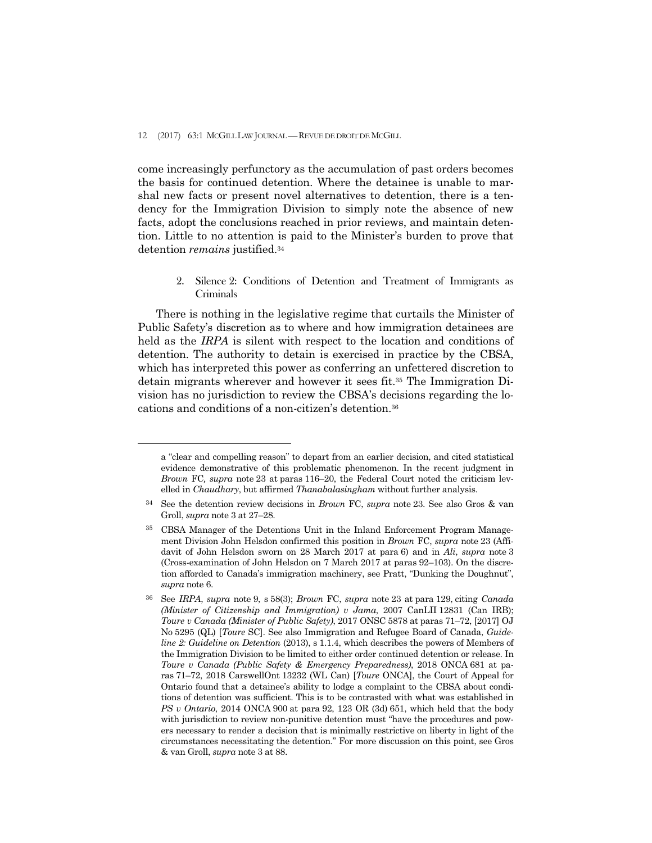$\overline{a}$ 

come increasingly perfunctory as the accumulation of past orders becomes the basis for continued detention. Where the detainee is unable to marshal new facts or present novel alternatives to detention, there is a tendency for the Immigration Division to simply note the absence of new facts, adopt the conclusions reached in prior reviews, and maintain detention. Little to no attention is paid to the Minister's burden to prove that detention *remains* justified.34

> 2. Silence 2: Conditions of Detention and Treatment of Immigrants as Criminals

 There is nothing in the legislative regime that curtails the Minister of Public Safety's discretion as to where and how immigration detainees are held as the *IRPA* is silent with respect to the location and conditions of detention. The authority to detain is exercised in practice by the CBSA, which has interpreted this power as conferring an unfettered discretion to detain migrants wherever and however it sees fit.35 The Immigration Division has no jurisdiction to review the CBSA's decisions regarding the locations and conditions of a non-citizen's detention.36

a "clear and compelling reason" to depart from an earlier decision, and cited statistical evidence demonstrative of this problematic phenomenon. In the recent judgment in *Brown* FC*, supra* note 23 at paras 116–20, the Federal Court noted the criticism levelled in *Chaudhary*, but affirmed *Thanabalasingham* without further analysis.

<sup>34</sup> See the detention review decisions in *Brown* FC, *supra* note 23. See also Gros & van Groll, *supra* note 3 at 27–28.

<sup>35</sup> CBSA Manager of the Detentions Unit in the Inland Enforcement Program Management Division John Helsdon confirmed this position in *Brown* FC, *supra* note 23 (Affidavit of John Helsdon sworn on 28 March 2017 at para 6) and in *Ali*, *supra* note 3 (Cross-examination of John Helsdon on 7 March 2017 at paras 92–103). On the discretion afforded to Canada's immigration machinery, see Pratt, "Dunking the Doughnut", *supra* note 6.

<sup>36</sup> See *IRPA*, *supra* note 9, s 58(3); *Brown* FC, *supra* note 23 at para 129, citing *Canada (Minister of Citizenship and Immigration) v Jama*, 2007 CanLII 12831 (Can IRB); *Toure v Canada (Minister of Public Safety)*, 2017 ONSC 5878 at paras 71–72, [2017] OJ No 5295 (QL) [*Toure* SC]. See also Immigration and Refugee Board of Canada, *Guideline 2: Guideline on Detention* (2013), s 1.1.4, which describes the powers of Members of the Immigration Division to be limited to either order continued detention or release. In *Toure v Canada (Public Safety & Emergency Preparedness)*, 2018 ONCA 681 at paras 71–72, 2018 CarswellOnt 13232 (WL Can) [*Toure* ONCA], the Court of Appeal for Ontario found that a detainee's ability to lodge a complaint to the CBSA about conditions of detention was sufficient. This is to be contrasted with what was established in *PS v Ontario*, 2014 ONCA 900 at para 92, 123 OR (3d) 651, which held that the body with jurisdiction to review non-punitive detention must "have the procedures and powers necessary to render a decision that is minimally restrictive on liberty in light of the circumstances necessitating the detention." For more discussion on this point, see Gros & van Groll, *supra* note 3 at 88.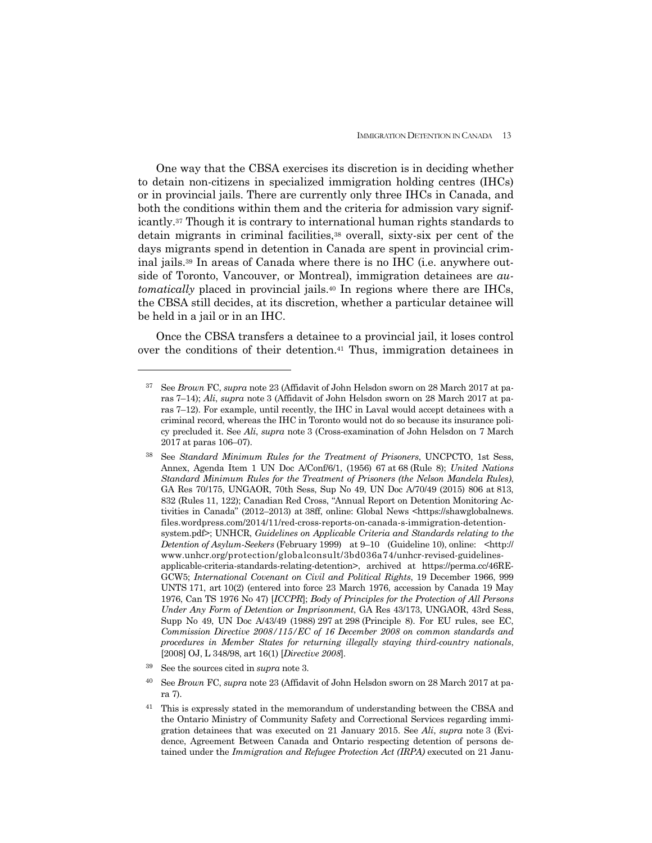One way that the CBSA exercises its discretion is in deciding whether to detain non-citizens in specialized immigration holding centres (IHCs) or in provincial jails. There are currently only three IHCs in Canada, and both the conditions within them and the criteria for admission vary significantly.37 Though it is contrary to international human rights standards to detain migrants in criminal facilities,<sup>38</sup> overall, sixty-six per cent of the days migrants spend in detention in Canada are spent in provincial criminal jails.39 In areas of Canada where there is no IHC (i.e. anywhere outside of Toronto, Vancouver, or Montreal), immigration detainees are *automatically* placed in provincial jails.40 In regions where there are IHCs, the CBSA still decides, at its discretion, whether a particular detainee will be held in a jail or in an IHC.

 Once the CBSA transfers a detainee to a provincial jail, it loses control over the conditions of their detention.41 Thus, immigration detainees in

<sup>37</sup> See *Brown* FC, *supra* note 23 (Affidavit of John Helsdon sworn on 28 March 2017 at paras 7–14); *Ali*, *supra* note 3 (Affidavit of John Helsdon sworn on 28 March 2017 at paras 7–12). For example, until recently, the IHC in Laval would accept detainees with a criminal record, whereas the IHC in Toronto would not do so because its insurance policy precluded it. See *Ali*, *supra* note 3 (Cross-examination of John Helsdon on 7 March 2017 at paras 106–07).

<sup>38</sup> See *Standard Minimum Rules for the Treatment of Prisoners*, UNCPCTO, 1st Sess, Annex, Agenda Item 1 UN Doc A/Conf/6/1, (1956) 67 at 68 (Rule 8); *United Nations Standard Minimum Rules for the Treatment of Prisoners (the Nelson Mandela Rules)*, GA Res 70/175, UNGAOR, 70th Sess, Sup No 49, UN Doc A/70/49 (2015) 806 at 813, 832 (Rules 11, 122); Canadian Red Cross, "Annual Report on Detention Monitoring Activities in Canada" (2012–2013) at 38ff, online: Global News <https://shawglobalnews. files.wordpress.com/2014/11/red-cross-reports-on-canada-s-immigration-detentionsystem.pdf>; UNHCR, *Guidelines on Applicable Criteria and Standards relating to the Detention of Asylum-Seekers* (February 1999) at 9–10 (Guideline 10), online: <http:// www.unhcr.org/protection/globalconsult/3bd036a74/unhcr-revised-guidelinesapplicable-criteria-standards-relating-detention>, archived at https://perma.cc/46RE-GCW5; *International Covenant on Civil and Political Rights*, 19 December 1966, 999 UNTS 171, art 10(2) (entered into force 23 March 1976, accession by Canada 19 May 1976, Can TS 1976 No 47) [*ICCPR*]; *Body of Principles for the Protection of All Persons Under Any Form of Detention or Imprisonment*, GA Res 43/173, UNGAOR, 43rd Sess, Supp No 49, UN Doc A/43/49 (1988) 297 at 298 (Principle 8). For EU rules, see EC, *Commission Directive 2008/115/EC of 16 December 2008 on common standards and procedures in Member States for returning illegally staying third-country nationals*, [2008] OJ, L 348/98, art 16(1) [*Directive 2008*].

<sup>39</sup> See the sources cited in *supra* note 3.

<sup>40</sup> See *Brown* FC, *supra* note 23 (Affidavit of John Helsdon sworn on 28 March 2017 at para 7).

<sup>41</sup> This is expressly stated in the memorandum of understanding between the CBSA and the Ontario Ministry of Community Safety and Correctional Services regarding immigration detainees that was executed on 21 January 2015. See *Ali*, *supra* note 3 (Evidence, Agreement Between Canada and Ontario respecting detention of persons detained under the *Immigration and Refugee Protection Act (IRPA)* executed on 21 Janu-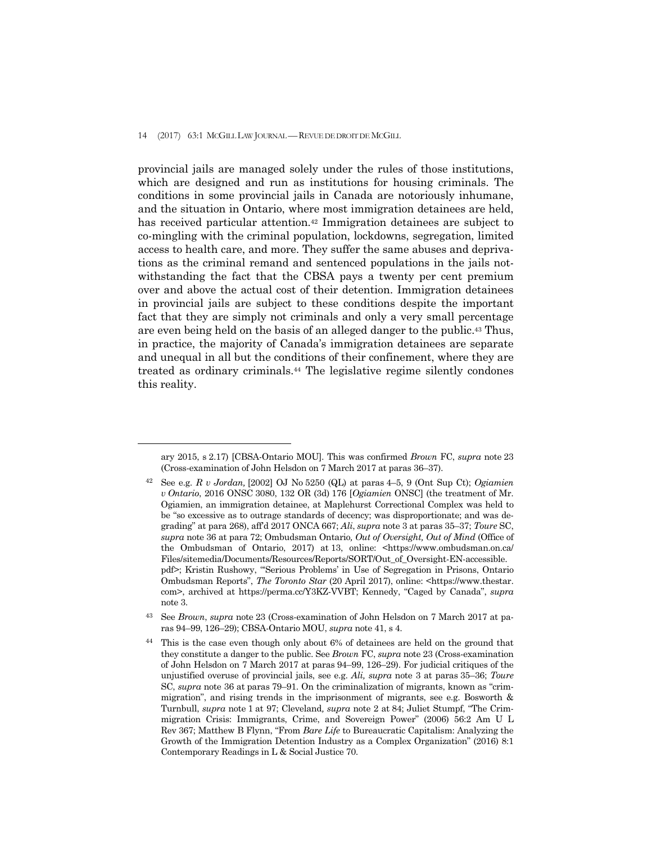$\overline{a}$ 

provincial jails are managed solely under the rules of those institutions, which are designed and run as institutions for housing criminals. The conditions in some provincial jails in Canada are notoriously inhumane, and the situation in Ontario, where most immigration detainees are held, has received particular attention.42 Immigration detainees are subject to co-mingling with the criminal population, lockdowns, segregation, limited access to health care, and more. They suffer the same abuses and deprivations as the criminal remand and sentenced populations in the jails notwithstanding the fact that the CBSA pays a twenty per cent premium over and above the actual cost of their detention. Immigration detainees in provincial jails are subject to these conditions despite the important fact that they are simply not criminals and only a very small percentage are even being held on the basis of an alleged danger to the public.43 Thus, in practice, the majority of Canada's immigration detainees are separate and unequal in all but the conditions of their confinement, where they are treated as ordinary criminals.44 The legislative regime silently condones this reality.

ary 2015, s 2.17) [CBSA-Ontario MOU]. This was confirmed *Brown* FC, *supra* note 23 (Cross-examination of John Helsdon on 7 March 2017 at paras 36–37).

<sup>42</sup> See e.g. *R v Jordan,* [2002] OJ No 5250 (QL) at paras 4–5, 9 (Ont Sup Ct); *Ogiamien v Ontario*, 2016 ONSC 3080, 132 OR (3d) 176 [*Ogiamien* ONSC] (the treatment of Mr. Ogiamien, an immigration detainee, at Maplehurst Correctional Complex was held to be "so excessive as to outrage standards of decency; was disproportionate; and was degrading" at para 268), aff'd 2017 ONCA 667; *Ali*, *supra* note 3 at paras 35–37; *Toure* SC, *supra* note 36 at para 72; Ombudsman Ontario*, Out of Oversight, Out of Mind* (Office of the Ombudsman of Ontario, 2017) at 13, online: <https://www.ombudsman.on.ca/ Files/sitemedia/Documents/Resources/Reports/SORT/Out\_of\_Oversight-EN-accessible. pdf>; Kristin Rushowy, "'Serious Problems' in Use of Segregation in Prisons, Ontario Ombudsman Reports", *The Toronto Star* (20 April 2017), online: <https://www.thestar. com>, archived at https://perma.cc/Y3KZ-VVBT; Kennedy, "Caged by Canada", *supra*  note 3.

<sup>43</sup> See *Brown*, *supra* note 23 (Cross-examination of John Helsdon on 7 March 2017 at paras 94–99, 126–29); CBSA-Ontario MOU, *supra* note 41, s 4.

<sup>&</sup>lt;sup>44</sup> This is the case even though only about 6% of detainees are held on the ground that they constitute a danger to the public. See *Brown* FC, *supra* note 23 (Cross-examination of John Helsdon on 7 March 2017 at paras 94–99, 126–29). For judicial critiques of the unjustified overuse of provincial jails, see e.g. *Ali, supra* note 3 at paras 35–36; *Toure*  SC, *supra* note 36 at paras 79–91. On the criminalization of migrants, known as "crimmigration", and rising trends in the imprisonment of migrants, see e.g. Bosworth & Turnbull, *supra* note 1 at 97; Cleveland*, supra* note 2 at 84; Juliet Stumpf, "The Crimmigration Crisis: Immigrants, Crime, and Sovereign Power" (2006) 56:2 Am U L Rev 367; Matthew B Flynn, "From *Bare Life* to Bureaucratic Capitalism: Analyzing the Growth of the Immigration Detention Industry as a Complex Organization" (2016) 8:1 Contemporary Readings in L & Social Justice 70.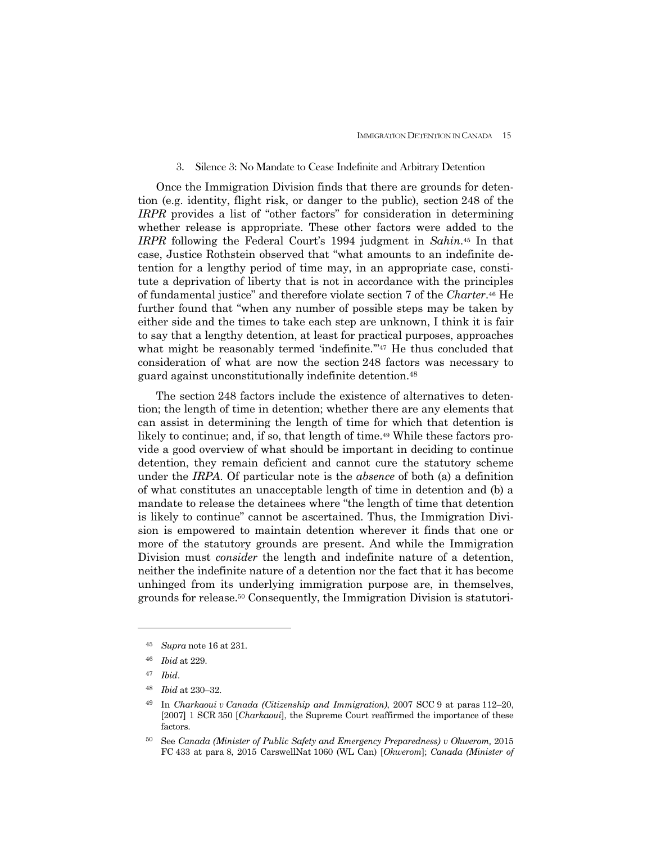### 3. Silence 3: No Mandate to Cease Indefinite and Arbitrary Detention

 Once the Immigration Division finds that there are grounds for detention (e.g. identity, flight risk, or danger to the public), section 248 of the *IRPR* provides a list of "other factors" for consideration in determining whether release is appropriate. These other factors were added to the *IRPR* following the Federal Court's 1994 judgment in *Sahin*.45 In that case, Justice Rothstein observed that "what amounts to an indefinite detention for a lengthy period of time may, in an appropriate case, constitute a deprivation of liberty that is not in accordance with the principles of fundamental justice" and therefore violate section 7 of the *Charter*.46 He further found that "when any number of possible steps may be taken by either side and the times to take each step are unknown, I think it is fair to say that a lengthy detention, at least for practical purposes, approaches what might be reasonably termed 'indefinite."<sup>47</sup> He thus concluded that consideration of what are now the section 248 factors was necessary to guard against unconstitutionally indefinite detention.48

 The section 248 factors include the existence of alternatives to detention; the length of time in detention; whether there are any elements that can assist in determining the length of time for which that detention is likely to continue; and, if so, that length of time.<sup>49</sup> While these factors provide a good overview of what should be important in deciding to continue detention, they remain deficient and cannot cure the statutory scheme under the *IRPA*. Of particular note is the *absence* of both (a) a definition of what constitutes an unacceptable length of time in detention and (b) a mandate to release the detainees where "the length of time that detention is likely to continue" cannot be ascertained. Thus, the Immigration Division is empowered to maintain detention wherever it finds that one or more of the statutory grounds are present. And while the Immigration Division must *consider* the length and indefinite nature of a detention, neither the indefinite nature of a detention nor the fact that it has become unhinged from its underlying immigration purpose are, in themselves, grounds for release.50 Consequently, the Immigration Division is statutori-

<sup>45</sup> *Supra* note 16 at 231.

<sup>46</sup> *Ibid* at 229.

<sup>47</sup> *Ibid*.

<sup>48</sup> *Ibid* at 230–32.

<sup>49</sup> In *Charkaoui v Canada (Citizenship and Immigration)*, 2007 SCC 9 at paras 112–20, [2007] 1 SCR 350 [*Charkaoui*], the Supreme Court reaffirmed the importance of these factors.

<sup>50</sup> See *Canada (Minister of Public Safety and Emergency Preparedness) v Okwerom,* 2015 FC 433 at para 8, 2015 CarswellNat 1060 (WL Can) [*Okwerom*]; *Canada (Minister of*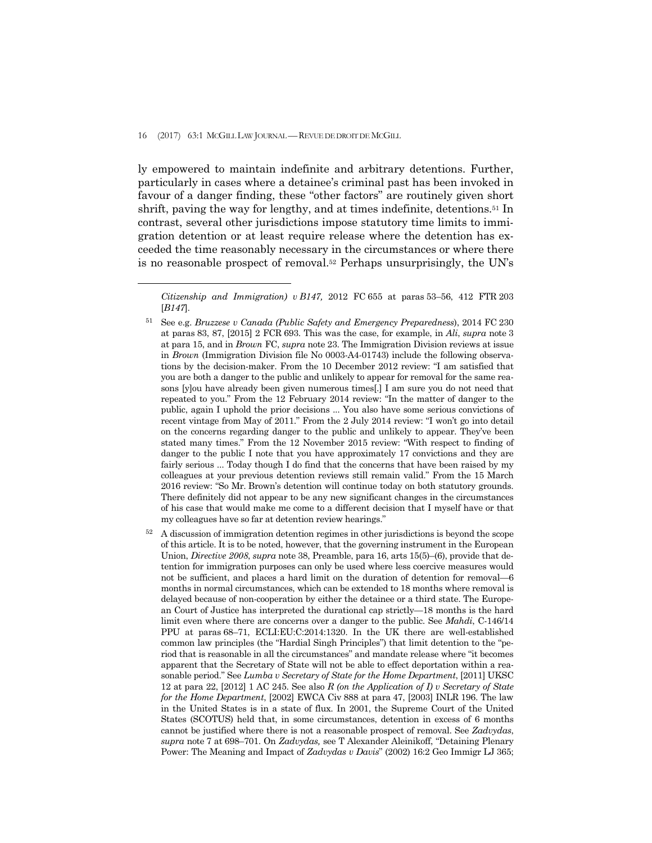$\overline{a}$ 

ly empowered to maintain indefinite and arbitrary detentions. Further, particularly in cases where a detainee's criminal past has been invoked in favour of a danger finding, these "other factors" are routinely given short shrift, paving the way for lengthy, and at times indefinite, detentions.<sup>51</sup> In contrast, several other jurisdictions impose statutory time limits to immigration detention or at least require release where the detention has exceeded the time reasonably necessary in the circumstances or where there is no reasonable prospect of removal.52 Perhaps unsurprisingly, the UN's

<sup>52</sup> A discussion of immigration detention regimes in other jurisdictions is beyond the scope of this article. It is to be noted, however, that the governing instrument in the European Union, *Directive 2008*, *supra* note 38, Preamble, para 16, arts 15(5)–(6), provide that detention for immigration purposes can only be used where less coercive measures would not be sufficient, and places a hard limit on the duration of detention for removal—6 months in normal circumstances, which can be extended to 18 months where removal is delayed because of non-cooperation by either the detainee or a third state. The European Court of Justice has interpreted the durational cap strictly—18 months is the hard limit even where there are concerns over a danger to the public. See *Mahdi*, C-146/14 PPU at paras 68–71, ECLI:EU:C:2014:1320. In the UK there are well-established common law principles (the "Hardial Singh Principles") that limit detention to the "period that is reasonable in all the circumstances" and mandate release where "it becomes apparent that the Secretary of State will not be able to effect deportation within a reasonable period." See *Lumba v Secretary of State for the Home Department*, [2011] UKSC 12 at para 22, [2012] 1 AC 245. See also *R (on the Application of I) v Secretary of State for the Home Department*, [2002] EWCA Civ 888 at para 47, [2003] INLR 196. The law in the United States is in a state of flux. In 2001, the Supreme Court of the United States (SCOTUS) held that, in some circumstances, detention in excess of 6 months cannot be justified where there is not a reasonable prospect of removal. See *Zadvydas*, *supra* note 7 at 698–701. On *Zadvydas,* see T Alexander Aleinikoff, "Detaining Plenary Power: The Meaning and Impact of *Zadvydas v Davis*" (2002) 16:2 Geo Immigr LJ 365;

*Citizenship and Immigration) v B147,* 2012 FC 655 at paras 53–56, 412 FTR 203 [*B147*].

<sup>51</sup> See e.g. *Bruzzese v Canada (Public Safety and Emergency Preparedness*), 2014 FC 230 at paras 83, 87, [2015] 2 FCR 693. This was the case, for example, in *Ali*, *supra* note 3 at para 15, and in *Brown* FC, *supra* note 23. The Immigration Division reviews at issue in *Brown* (Immigration Division file No 0003-A4-01743) include the following observations by the decision-maker. From the 10 December 2012 review: "I am satisfied that you are both a danger to the public and unlikely to appear for removal for the same reasons [y]ou have already been given numerous times[.] I am sure you do not need that repeated to you." From the 12 February 2014 review: "In the matter of danger to the public, again I uphold the prior decisions ... You also have some serious convictions of recent vintage from May of 2011." From the 2 July 2014 review: "I won't go into detail on the concerns regarding danger to the public and unlikely to appear. They've been stated many times." From the 12 November 2015 review: "With respect to finding of danger to the public I note that you have approximately 17 convictions and they are fairly serious ... Today though I do find that the concerns that have been raised by my colleagues at your previous detention reviews still remain valid." From the 15 March 2016 review: "So Mr. Brown's detention will continue today on both statutory grounds. There definitely did not appear to be any new significant changes in the circumstances of his case that would make me come to a different decision that I myself have or that my colleagues have so far at detention review hearings."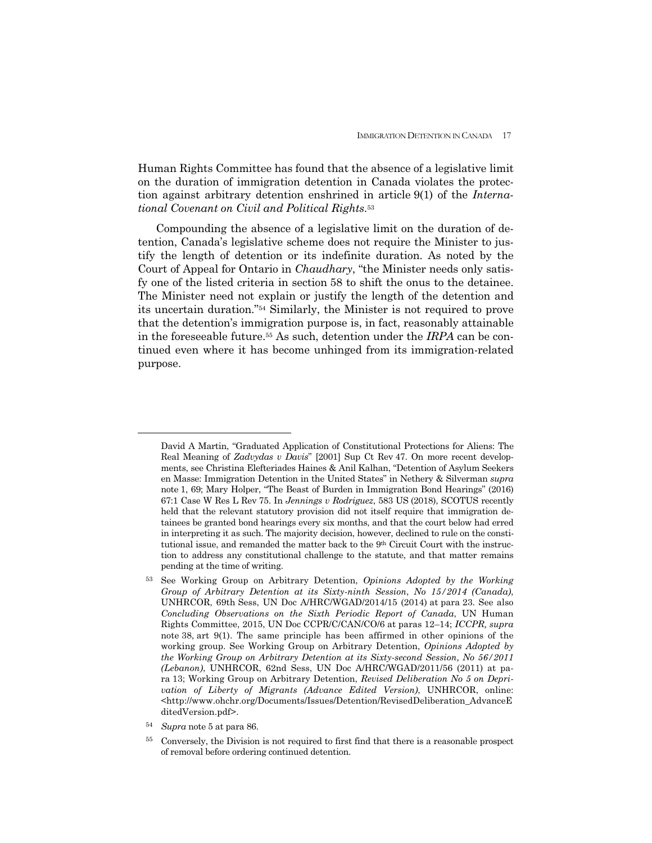Human Rights Committee has found that the absence of a legislative limit on the duration of immigration detention in Canada violates the protection against arbitrary detention enshrined in article 9(1) of the *International Covenant on Civil and Political Rights*.53

 Compounding the absence of a legislative limit on the duration of detention, Canada's legislative scheme does not require the Minister to justify the length of detention or its indefinite duration. As noted by the Court of Appeal for Ontario in *Chaudhary*, "the Minister needs only satisfy one of the listed criteria in section 58 to shift the onus to the detainee. The Minister need not explain or justify the length of the detention and its uncertain duration."54 Similarly, the Minister is not required to prove that the detention's immigration purpose is, in fact, reasonably attainable in the foreseeable future.55 As such, detention under the *IRPA* can be continued even where it has become unhinged from its immigration-related purpose.

 $\overline{a}$ 

David A Martin, "Graduated Application of Constitutional Protections for Aliens: The Real Meaning of *Zadvydas v Davis*" [2001] Sup Ct Rev 47. On more recent developments, see Christina Elefteriades Haines & Anil Kalhan, "Detention of Asylum Seekers en Masse: Immigration Detention in the United States" in Nethery & Silverman *supra*  note 1, 69; Mary Holper, "The Beast of Burden in Immigration Bond Hearings" (2016) 67:1 Case W Res L Rev 75. In *Jennings v Rodriguez*, 583 US (2018), SCOTUS recently held that the relevant statutory provision did not itself require that immigration detainees be granted bond hearings every six months, and that the court below had erred in interpreting it as such. The majority decision, however, declined to rule on the constitutional issue, and remanded the matter back to the 9th Circuit Court with the instruction to address any constitutional challenge to the statute, and that matter remains pending at the time of writing.

<sup>53</sup> See Working Group on Arbitrary Detention, *Opinions Adopted by the Working Group of Arbitrary Detention at its Sixty-ninth Session*, *No 15/2014 (Canada)*, UNHRCOR, 69th Sess, UN Doc A/HRC/WGAD/2014/15 (2014) at para 23. See also *Concluding Observations on the Sixth Periodic Report of Canada*, UN Human Rights Committee, 2015, UN Doc CCPR/C/CAN/CO/6 at paras 12–14; *ICCPR, supra*  note 38, art 9(1). The same principle has been affirmed in other opinions of the working group. See Working Group on Arbitrary Detention, *Opinions Adopted by the Working Group on Arbitrary Detention at its Sixty-second Session, No 56/2011 (Lebanon)*, UNHRCOR, 62nd Sess, UN Doc A/HRC/WGAD/2011/56 (2011) at para 13; Working Group on Arbitrary Detention, *Revised Deliberation No 5 on Deprivation of Liberty of Migrants (Advance Edited Version)*, UNHRCOR, online: <http://www.ohchr.org/Documents/Issues/Detention/RevisedDeliberation\_AdvanceE ditedVersion.pdf>.

<sup>54</sup> *Supra* note 5 at para 86.

<sup>&</sup>lt;sup>55</sup> Conversely, the Division is not required to first find that there is a reasonable prospect of removal before ordering continued detention.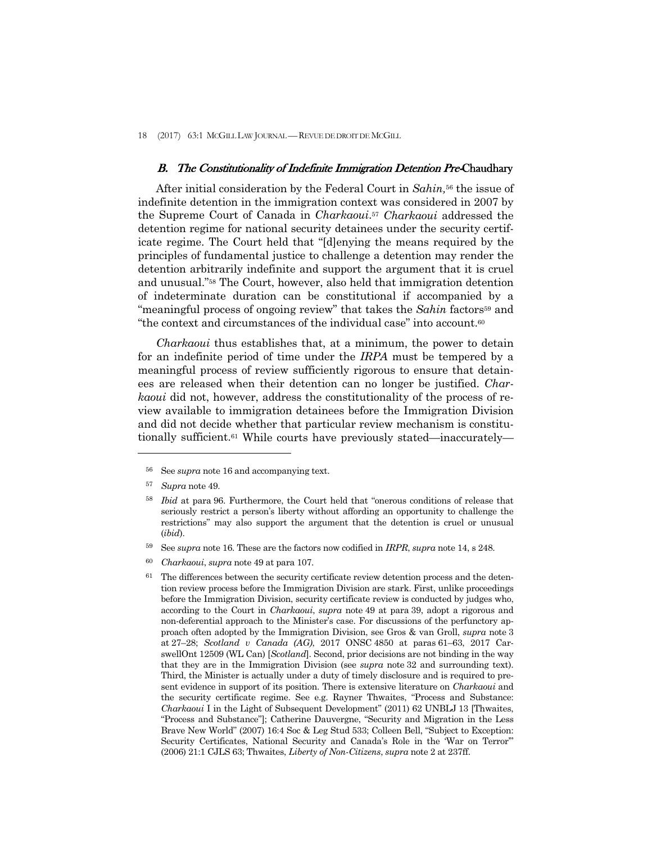18 (2017) 63:1 MCGILL LAW JOURNAL —REVUE DE DROIT DE MCGILL

#### B. The Constitutionality of Indefinite Immigration Detention Pre-Chaudhary

 After initial consideration by the Federal Court in *Sahin,*<sup>56</sup> the issue of indefinite detention in the immigration context was considered in 2007 by the Supreme Court of Canada in *Charkaoui*.57 *Charkaoui* addressed the detention regime for national security detainees under the security certificate regime. The Court held that "[d]enying the means required by the principles of fundamental justice to challenge a detention may render the detention arbitrarily indefinite and support the argument that it is cruel and unusual."58 The Court, however, also held that immigration detention of indeterminate duration can be constitutional if accompanied by a "meaningful process of ongoing review" that takes the *Sahin* factors<sup>59</sup> and "the context and circumstances of the individual case" into account.60

 *Charkaoui* thus establishes that, at a minimum, the power to detain for an indefinite period of time under the *IRPA* must be tempered by a meaningful process of review sufficiently rigorous to ensure that detainees are released when their detention can no longer be justified. *Charkaoui* did not, however, address the constitutionality of the process of review available to immigration detainees before the Immigration Division and did not decide whether that particular review mechanism is constitutionally sufficient.61 While courts have previously stated—inaccurately—

- 59 See *supra* note 16. These are the factors now codified in *IRPR*, *supra* note 14, s 248.
- <sup>60</sup> *Charkaoui*, *supra* note 49 at para 107.

<sup>56</sup> See *supra* note 16 and accompanying text.

<sup>57</sup> *Supra* note 49.

<sup>58</sup> *Ibid* at para 96. Furthermore, the Court held that "onerous conditions of release that seriously restrict a person's liberty without affording an opportunity to challenge the restrictions" may also support the argument that the detention is cruel or unusual (*ibid*).

 $61$  The differences between the security certificate review detention process and the detention review process before the Immigration Division are stark. First, unlike proceedings before the Immigration Division, security certificate review is conducted by judges who, according to the Court in *Charkaoui*, *supra* note 49 at para 39, adopt a rigorous and non-deferential approach to the Minister's case. For discussions of the perfunctory approach often adopted by the Immigration Division, see Gros & van Groll, *supra* note 3 at 27–28; *Scotland v Canada (AG)*, 2017 ONSC 4850 at paras 61–63, 2017 CarswellOnt 12509 (WL Can) [*Scotland*]. Second, prior decisions are not binding in the way that they are in the Immigration Division (see *supra* note 32 and surrounding text). Third, the Minister is actually under a duty of timely disclosure and is required to present evidence in support of its position. There is extensive literature on *Charkaoui* and the security certificate regime. See e.g. Rayner Thwaites, "Process and Substance: *Charkaoui* I in the Light of Subsequent Development" (2011) 62 UNBLJ 13 [Thwaites, "Process and Substance"]; Catherine Dauvergne, "Security and Migration in the Less Brave New World" (2007) 16:4 Soc & Leg Stud 533; Colleen Bell, "Subject to Exception: Security Certificates, National Security and Canada's Role in the 'War on Terror'" (2006) 21:1 CJLS 63; Thwaites, *Liberty of Non-Citizens*, *supra* note 2 at 237ff.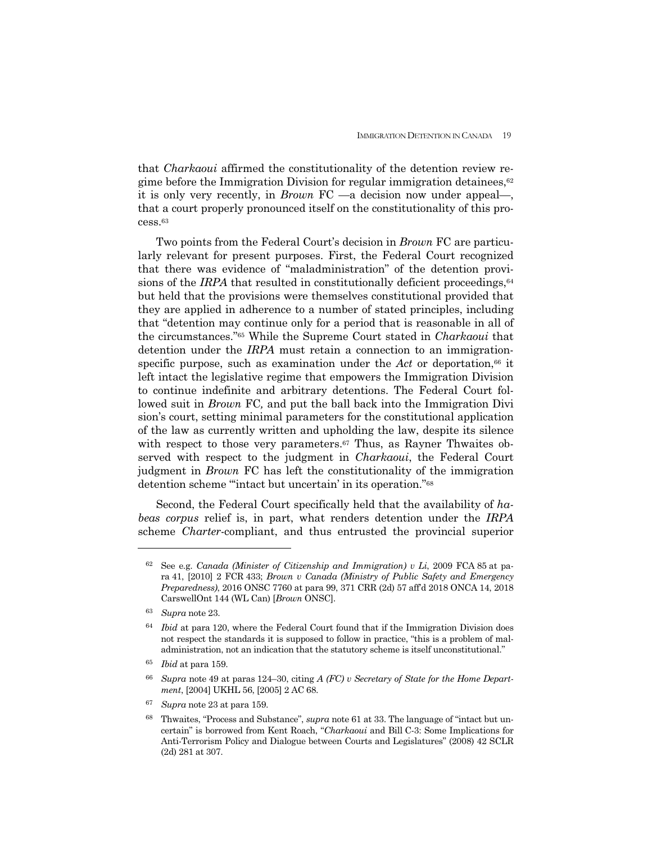that *Charkaoui* affirmed the constitutionality of the detention review regime before the Immigration Division for regular immigration detainees, $62$ it is only very recently, in *Brown* FC —a decision now under appeal—, that a court properly pronounced itself on the constitutionality of this process.63

 Two points from the Federal Court's decision in *Brown* FC are particularly relevant for present purposes. First, the Federal Court recognized that there was evidence of "maladministration" of the detention provisions of the *IRPA* that resulted in constitutionally deficient proceedings,  $64$ but held that the provisions were themselves constitutional provided that they are applied in adherence to a number of stated principles, including that "detention may continue only for a period that is reasonable in all of the circumstances."65 While the Supreme Court stated in *Charkaoui* that detention under the *IRPA* must retain a connection to an immigrationspecific purpose, such as examination under the  $Act$  or deportation, $66$  it left intact the legislative regime that empowers the Immigration Division to continue indefinite and arbitrary detentions. The Federal Court followed suit in *Brown* FC*,* and put the ball back into the Immigration Divi sion's court, setting minimal parameters for the constitutional application of the law as currently written and upholding the law, despite its silence with respect to those very parameters.<sup>67</sup> Thus, as Rayner Thwaites observed with respect to the judgment in *Charkaoui*, the Federal Court judgment in *Brown* FC has left the constitutionality of the immigration detention scheme "'intact but uncertain' in its operation."68

 Second, the Federal Court specifically held that the availability of *habeas corpus* relief is, in part, what renders detention under the *IRPA* scheme *Charter*-compliant, and thus entrusted the provincial superior

<sup>62</sup> See e.g. *Canada (Minister of Citizenship and Immigration) v Li*, 2009 FCA 85 at para 41, [2010] 2 FCR 433; *Brown v Canada (Ministry of Public Safety and Emergency Preparedness)*, 2016 ONSC 7760 at para 99, 371 CRR (2d) 57 aff'd 2018 ONCA 14, 2018 CarswellOnt 144 (WL Can) [*Brown* ONSC].

<sup>63</sup> *Supra* note 23.

<sup>64</sup> *Ibid* at para 120, where the Federal Court found that if the Immigration Division does not respect the standards it is supposed to follow in practice, "this is a problem of maladministration, not an indication that the statutory scheme is itself unconstitutional."

<sup>65</sup> *Ibid* at para 159.

<sup>66</sup> *Supra* note 49 at paras 124–30, citing *A (FC) v Secretary of State for the Home Department*, [2004] UKHL 56, [2005] 2 AC 68.

<sup>67</sup> *Supra* note 23 at para 159.

<sup>68</sup> Thwaites, "Process and Substance", *supra* note 61 at 33. The language of "intact but uncertain" is borrowed from Kent Roach, "*Charkaoui* and Bill C-3: Some Implications for Anti-Terrorism Policy and Dialogue between Courts and Legislatures" (2008) 42 SCLR (2d) 281 at 307.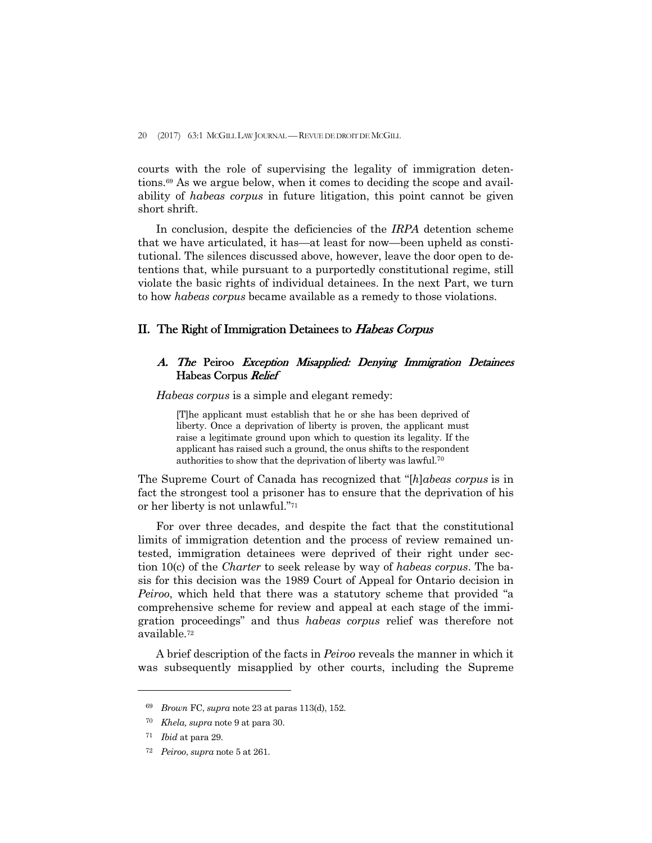courts with the role of supervising the legality of immigration detentions.69 As we argue below, when it comes to deciding the scope and availability of *habeas corpus* in future litigation, this point cannot be given short shrift.

 In conclusion, despite the deficiencies of the *IRPA* detention scheme that we have articulated, it has—at least for now—been upheld as constitutional. The silences discussed above, however, leave the door open to detentions that, while pursuant to a purportedly constitutional regime, still violate the basic rights of individual detainees. In the next Part, we turn to how *habeas corpus* became available as a remedy to those violations.

## II. The Right of Immigration Detainees to Habeas Corpus

## A. The Peiroo Exception Misapplied: Denying Immigration Detainees Habeas Corpus Relief

 *Habeas corpus* is a simple and elegant remedy:

[T]he applicant must establish that he or she has been deprived of liberty. Once a deprivation of liberty is proven, the applicant must raise a legitimate ground upon which to question its legality. If the applicant has raised such a ground, the onus shifts to the respondent authorities to show that the deprivation of liberty was lawful.70

The Supreme Court of Canada has recognized that "[*h*]*abeas corpus* is in fact the strongest tool a prisoner has to ensure that the deprivation of his or her liberty is not unlawful."71

 For over three decades, and despite the fact that the constitutional limits of immigration detention and the process of review remained untested, immigration detainees were deprived of their right under section 10(c) of the *Charter* to seek release by way of *habeas corpus*. The basis for this decision was the 1989 Court of Appeal for Ontario decision in *Peiroo*, which held that there was a statutory scheme that provided "a comprehensive scheme for review and appeal at each stage of the immigration proceedings" and thus *habeas corpus* relief was therefore not available.72

 A brief description of the facts in *Peiroo* reveals the manner in which it was subsequently misapplied by other courts, including the Supreme

-

<sup>69</sup> *Brown* FC, *supra* note 23 at paras 113(d), 152.

<sup>70</sup> *Khela, supra* note 9 at para 30.

<sup>71</sup> *Ibid* at para 29.

<sup>72</sup> *Peiroo*, *supra* note 5 at 261.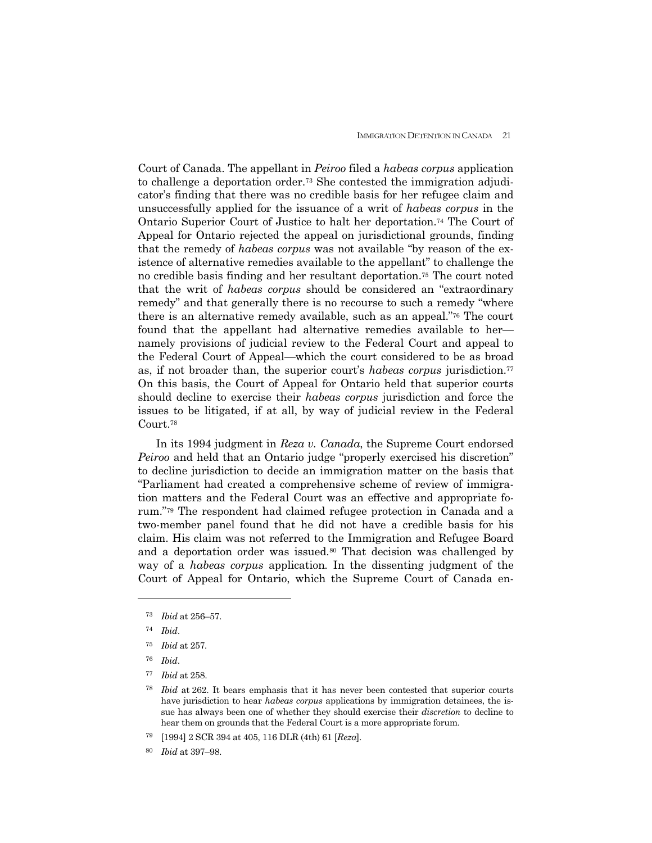Court of Canada. The appellant in *Peiroo* filed a *habeas corpus* application to challenge a deportation order.73 She contested the immigration adjudicator's finding that there was no credible basis for her refugee claim and unsuccessfully applied for the issuance of a writ of *habeas corpus* in the Ontario Superior Court of Justice to halt her deportation.74 The Court of Appeal for Ontario rejected the appeal on jurisdictional grounds, finding that the remedy of *habeas corpus* was not available "by reason of the existence of alternative remedies available to the appellant" to challenge the no credible basis finding and her resultant deportation.75 The court noted that the writ of *habeas corpus* should be considered an "extraordinary remedy" and that generally there is no recourse to such a remedy "where there is an alternative remedy available, such as an appeal."76 The court found that the appellant had alternative remedies available to her namely provisions of judicial review to the Federal Court and appeal to the Federal Court of Appeal—which the court considered to be as broad as, if not broader than, the superior court's *habeas corpus* jurisdiction.77 On this basis, the Court of Appeal for Ontario held that superior courts should decline to exercise their *habeas corpus* jurisdiction and force the issues to be litigated, if at all, by way of judicial review in the Federal Court.78

 In its 1994 judgment in *Reza v. Canada*, the Supreme Court endorsed *Peiroo* and held that an Ontario judge "properly exercised his discretion" to decline jurisdiction to decide an immigration matter on the basis that "Parliament had created a comprehensive scheme of review of immigration matters and the Federal Court was an effective and appropriate forum."79 The respondent had claimed refugee protection in Canada and a two-member panel found that he did not have a credible basis for his claim. His claim was not referred to the Immigration and Refugee Board and a deportation order was issued.<sup>80</sup> That decision was challenged by way of a *habeas corpus* application*.* In the dissenting judgment of the Court of Appeal for Ontario, which the Supreme Court of Canada en-

<sup>73</sup> *Ibid* at 256–57.

<sup>74</sup> *Ibid*.

<sup>75</sup> *Ibid* at 257*.*

<sup>76</sup> *Ibid*.

<sup>77</sup> *Ibid* at 258.

<sup>78</sup> *Ibid* at 262. It bears emphasis that it has never been contested that superior courts have jurisdiction to hear *habeas corpus* applications by immigration detainees, the issue has always been one of whether they should exercise their *discretion* to decline to hear them on grounds that the Federal Court is a more appropriate forum.

<sup>79 [1994] 2</sup> SCR 394 at 405, 116 DLR (4th) 61 [*Reza*].

<sup>80</sup> *Ibid* at 397–98.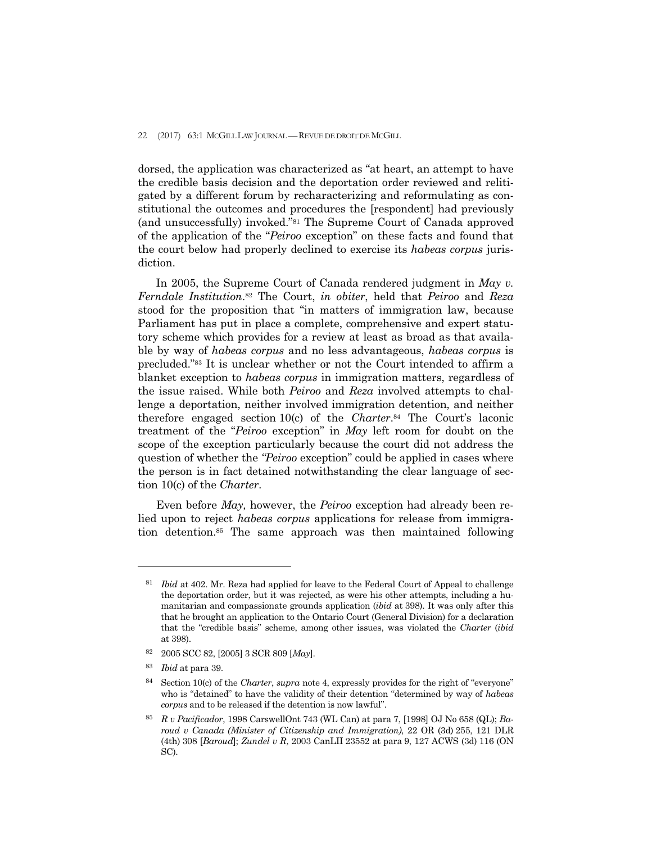dorsed, the application was characterized as "at heart, an attempt to have the credible basis decision and the deportation order reviewed and relitigated by a different forum by recharacterizing and reformulating as constitutional the outcomes and procedures the [respondent] had previously (and unsuccessfully) invoked."81 The Supreme Court of Canada approved of the application of the "*Peiroo* exception" on these facts and found that the court below had properly declined to exercise its *habeas corpus* jurisdiction.

 In 2005, the Supreme Court of Canada rendered judgment in *May v. Ferndale Institution*.82 The Court, *in obiter*, held that *Peiroo* and *Reza* stood for the proposition that "in matters of immigration law, because Parliament has put in place a complete, comprehensive and expert statutory scheme which provides for a review at least as broad as that available by way of *habeas corpus* and no less advantageous, *habeas corpus* is precluded."83 It is unclear whether or not the Court intended to affirm a blanket exception to *habeas corpus* in immigration matters, regardless of the issue raised. While both *Peiroo* and *Reza* involved attempts to challenge a deportation, neither involved immigration detention, and neither therefore engaged section 10(c) of the *Charter*.84 The Court's laconic treatment of the "*Peiroo* exception" in *May* left room for doubt on the scope of the exception particularly because the court did not address the question of whether the *"Peiroo* exception" could be applied in cases where the person is in fact detained notwithstanding the clear language of section 10(c) of the *Charter*.

 Even before *May,* however, the *Peiroo* exception had already been relied upon to reject *habeas corpus* applications for release from immigration detention.85 The same approach was then maintained following

<sup>81</sup> *Ibid* at 402. Mr. Reza had applied for leave to the Federal Court of Appeal to challenge the deportation order, but it was rejected, as were his other attempts, including a humanitarian and compassionate grounds application (*ibid* at 398). It was only after this that he brought an application to the Ontario Court (General Division) for a declaration that the "credible basis" scheme, among other issues, was violated the *Charter* (*ibid*  at 398).

<sup>82 2005</sup> SCC 82, [2005] 3 SCR 809 [*May*].

<sup>83</sup> *Ibid* at para 39.

<sup>84</sup> Section 10(c) of the *Charter*, *supra* note 4, expressly provides for the right of "everyone" who is "detained" to have the validity of their detention "determined by way of *habeas corpus* and to be released if the detention is now lawful".

<sup>85</sup> *R v Pacificador*, 1998 CarswellOnt 743 (WL Can) at para 7, [1998] OJ No 658 (QL); *Baroud v Canada (Minister of Citizenship and Immigration)*, 22 OR (3d) 255, 121 DLR (4th) 308 [*Baroud*]; *Zundel v R*, 2003 CanLII 23552 at para 9, 127 ACWS (3d) 116 (ON SC).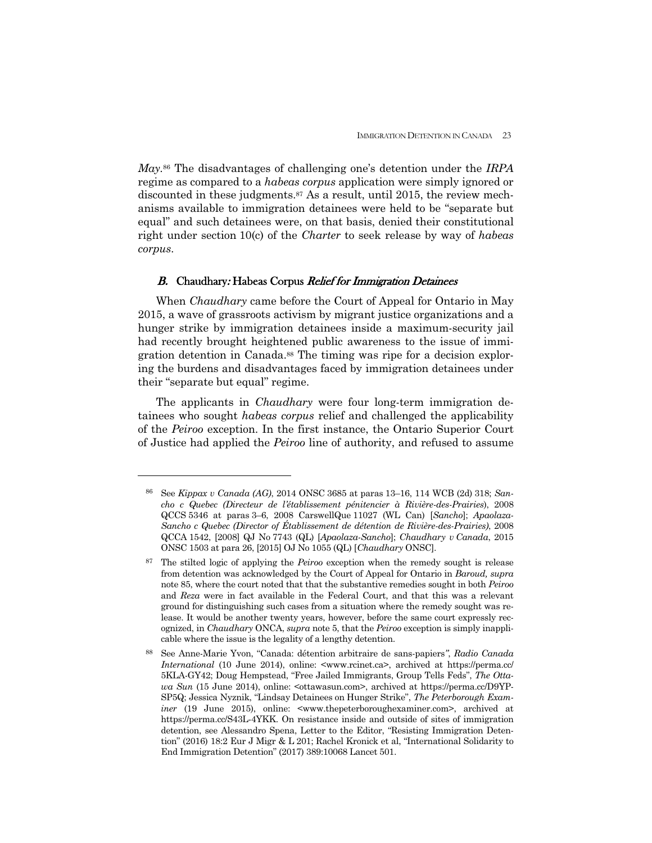*May.*<sup>86</sup> The disadvantages of challenging one's detention under the *IRPA* regime as compared to a *habeas corpus* application were simply ignored or discounted in these judgments.<sup>87</sup> As a result, until 2015, the review mechanisms available to immigration detainees were held to be "separate but equal" and such detainees were, on that basis, denied their constitutional right under section 10(c) of the *Charter* to seek release by way of *habeas corpus*.

## B. Chaudhary: Habeas Corpus Relief for Immigration Detainees

 When *Chaudhary* came before the Court of Appeal for Ontario in May 2015, a wave of grassroots activism by migrant justice organizations and a hunger strike by immigration detainees inside a maximum-security jail had recently brought heightened public awareness to the issue of immigration detention in Canada.88 The timing was ripe for a decision exploring the burdens and disadvantages faced by immigration detainees under their "separate but equal" regime.

 The applicants in *Chaudhary* were four long-term immigration detainees who sought *habeas corpus* relief and challenged the applicability of the *Peiroo* exception. In the first instance, the Ontario Superior Court of Justice had applied the *Peiroo* line of authority, and refused to assume

<sup>86</sup> See *Kippax v Canada (AG)*, 2014 ONSC 3685 at paras 13–16, 114 WCB (2d) 318; *Sancho c Quebec (Directeur de l'établissement pénitencier à Rivière-des-Prairies*), 2008 QCCS 5346 at paras 3–6, 2008 CarswellQue 11027 (WL Can) [*Sancho*]; *Apaolaza-Sancho c Quebec (Director of Établissement de détention de Rivière-des-Prairies)*, 2008 QCCA 1542, [2008] QJ No 7743 (QL) [*Apaolaza-Sancho*]; *Chaudhary v Canada*, 2015 ONSC 1503 at para 26, [2015] OJ No 1055 (QL) [*Chaudhary* ONSC].

<sup>87</sup> The stilted logic of applying the *Peiroo* exception when the remedy sought is release from detention was acknowledged by the Court of Appeal for Ontario in *Baroud, supra* note 85, where the court noted that that the substantive remedies sought in both *Peiroo*  and *Reza* were in fact available in the Federal Court, and that this was a relevant ground for distinguishing such cases from a situation where the remedy sought was release. It would be another twenty years, however, before the same court expressly recognized, in *Chaudhary* ONCA, *supra* note 5, that the *Peiroo* exception is simply inapplicable where the issue is the legality of a lengthy detention.

<sup>88</sup> See Anne-Marie Yvon, "Canada: détention arbitraire de sans-papiers*"*, *Radio Canada International* (10 June 2014), online:  $\langle$ www.rcinet.ca>, archived at https://perma.cc/ 5KLA-GY42; Doug Hempstead, "Free Jailed Immigrants, Group Tells Feds", *The Ottawa Sun* (15 June 2014), online: <ottawasun.com>, archived at https://perma.cc/D9YP-SP5Q; Jessica Nyznik, "Lindsay Detainees on Hunger Strike", *The Peterborough Examiner* (19 June 2015), online: <www.thepeterboroughexaminer.com>, archived at https://perma.cc/S43L-4YKK. On resistance inside and outside of sites of immigration detention, see Alessandro Spena, Letter to the Editor, "Resisting Immigration Detention" (2016) 18:2 Eur J Migr & L 201; Rachel Kronick et al, "International Solidarity to End Immigration Detention" (2017) 389:10068 Lancet 501.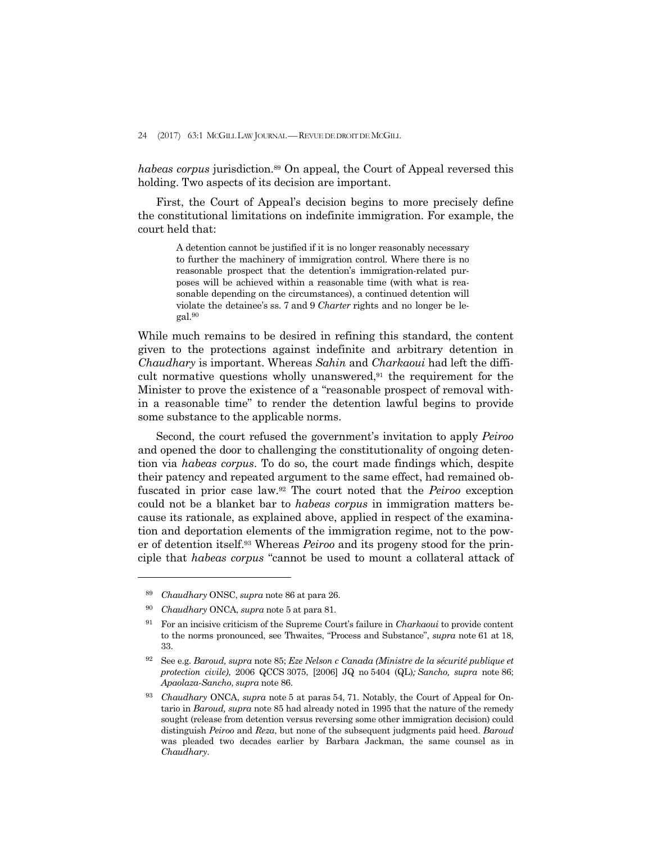*habeas corpus* jurisdiction.89 On appeal, the Court of Appeal reversed this holding. Two aspects of its decision are important.

 First, the Court of Appeal's decision begins to more precisely define the constitutional limitations on indefinite immigration. For example, the court held that:

> A detention cannot be justified if it is no longer reasonably necessary to further the machinery of immigration control. Where there is no reasonable prospect that the detention's immigration-related purposes will be achieved within a reasonable time (with what is reasonable depending on the circumstances), a continued detention will violate the detainee's ss. 7 and 9 *Charter* rights and no longer be legal.90

While much remains to be desired in refining this standard, the content given to the protections against indefinite and arbitrary detention in *Chaudhary* is important. Whereas *Sahin* and *Charkaoui* had left the difficult normative questions wholly unanswered,91 the requirement for the Minister to prove the existence of a "reasonable prospect of removal within a reasonable time" to render the detention lawful begins to provide some substance to the applicable norms.

 Second, the court refused the government's invitation to apply *Peiroo*  and opened the door to challenging the constitutionality of ongoing detention via *habeas corpus*. To do so, the court made findings which, despite their patency and repeated argument to the same effect, had remained obfuscated in prior case law.92 The court noted that the *Peiroo* exception could not be a blanket bar to *habeas corpus* in immigration matters because its rationale, as explained above, applied in respect of the examination and deportation elements of the immigration regime, not to the power of detention itself.93 Whereas *Peiroo* and its progeny stood for the principle that *habeas corpus* "cannot be used to mount a collateral attack of

<sup>89</sup> *Chaudhary* ONSC, *supra* note 86 at para 26.

<sup>90</sup> *Chaudhary* ONCA, *supra* note 5 at para 81.

<sup>91</sup> For an incisive criticism of the Supreme Court's failure in *Charkaoui* to provide content to the norms pronounced, see Thwaites, "Process and Substance", *supra* note 61 at 18, 33.

<sup>92</sup> See e.g. *Baroud, supra* note 85; *Eze Nelson c Canada (Ministre de la sécurité publique et protection civile)*, 2006 QCCS 3075, [2006] JQ no 5404 (QL)*; Sancho, supra* note 86; *Apaolaza-Sancho*, *supra* note 86.

<sup>93</sup> *Chaudhary* ONCA, *supra* note 5 at paras 54, 71. Notably, the Court of Appeal for Ontario in *Baroud, supra* note 85 had already noted in 1995 that the nature of the remedy sought (release from detention versus reversing some other immigration decision) could distinguish *Peiroo* and *Reza*, but none of the subsequent judgments paid heed. *Baroud*  was pleaded two decades earlier by Barbara Jackman, the same counsel as in *Chaudhary*.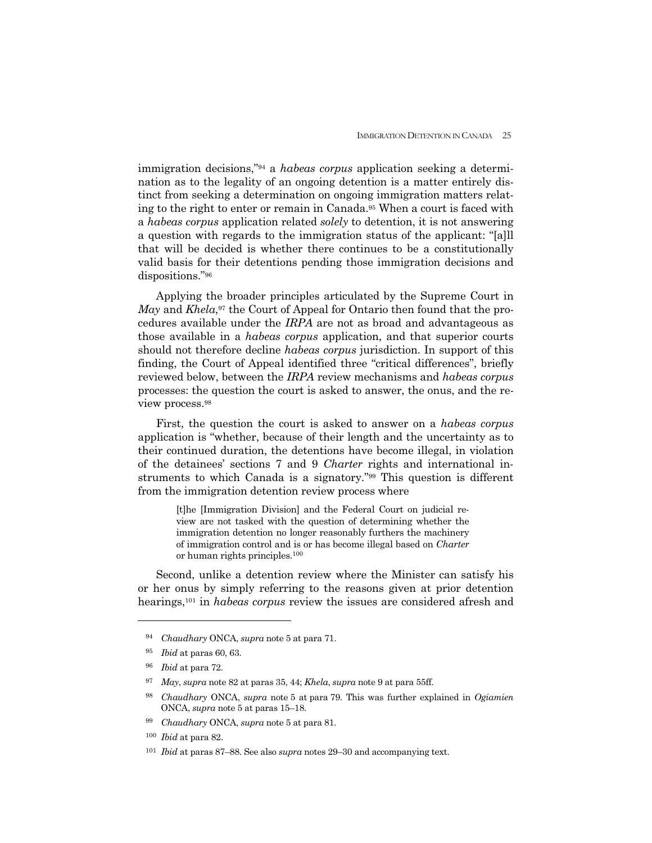immigration decisions,"94 a *habeas corpus* application seeking a determination as to the legality of an ongoing detention is a matter entirely distinct from seeking a determination on ongoing immigration matters relating to the right to enter or remain in Canada.95 When a court is faced with a *habeas corpus* application related *solely* to detention, it is not answering a question with regards to the immigration status of the applicant: "[a]ll that will be decided is whether there continues to be a constitutionally valid basis for their detentions pending those immigration decisions and dispositions."96

 Applying the broader principles articulated by the Supreme Court in *May* and *Khela*,<sup>97</sup> the Court of Appeal for Ontario then found that the procedures available under the *IRPA* are not as broad and advantageous as those available in a *habeas corpus* application, and that superior courts should not therefore decline *habeas corpus* jurisdiction. In support of this finding, the Court of Appeal identified three "critical differences", briefly reviewed below, between the *IRPA* review mechanisms and *habeas corpus* processes: the question the court is asked to answer, the onus, and the review process.98

 First, the question the court is asked to answer on a *habeas corpus* application is "whether, because of their length and the uncertainty as to their continued duration, the detentions have become illegal, in violation of the detainees' sections 7 and 9 *Charter* rights and international instruments to which Canada is a signatory."99 This question is different from the immigration detention review process where

> [t]he [Immigration Division] and the Federal Court on judicial review are not tasked with the question of determining whether the immigration detention no longer reasonably furthers the machinery of immigration control and is or has become illegal based on *Charter*  or human rights principles.100

 Second, unlike a detention review where the Minister can satisfy his or her onus by simply referring to the reasons given at prior detention hearings,101 in *habeas corpus* review the issues are considered afresh and

<sup>94</sup> *Chaudhary* ONCA, *supra* note 5 at para 71.

<sup>95</sup> *Ibid* at paras 60, 63.

<sup>96</sup> *Ibid* at para 72.

<sup>97</sup> *May*, *supra* note 82 at paras 35, 44; *Khela*, *supra* note 9 at para 55ff.

<sup>98</sup> *Chaudhary* ONCA, *supra* note 5 at para 79. This was further explained in *Ogiamien*  ONCA, *supra* note 5 at paras 15–18.

<sup>99</sup> *Chaudhary* ONCA, *supra* note 5 at para 81.

<sup>100</sup> *Ibid* at para 82.

<sup>101</sup> *Ibid* at paras 87–88. See also *supra* notes 29–30 and accompanying text.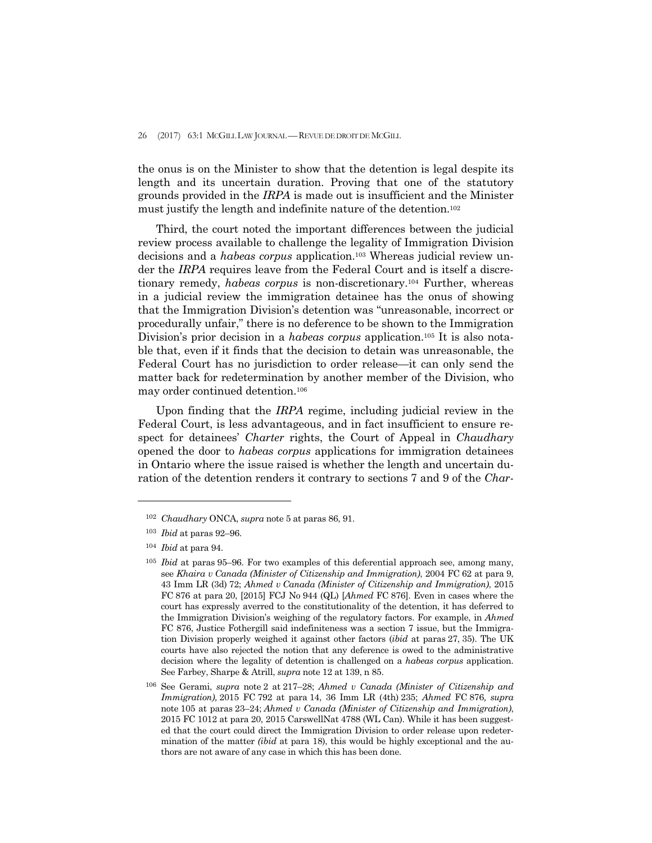the onus is on the Minister to show that the detention is legal despite its length and its uncertain duration. Proving that one of the statutory grounds provided in the *IRPA* is made out is insufficient and the Minister must justify the length and indefinite nature of the detention.102

 Third, the court noted the important differences between the judicial review process available to challenge the legality of Immigration Division decisions and a *habeas corpus* application.103 Whereas judicial review under the *IRPA* requires leave from the Federal Court and is itself a discretionary remedy, *habeas corpus* is non-discretionary.104 Further, whereas in a judicial review the immigration detainee has the onus of showing that the Immigration Division's detention was "unreasonable, incorrect or procedurally unfair," there is no deference to be shown to the Immigration Division's prior decision in a *habeas corpus* application.105 It is also notable that, even if it finds that the decision to detain was unreasonable, the Federal Court has no jurisdiction to order release—it can only send the matter back for redetermination by another member of the Division, who may order continued detention.106

 Upon finding that the *IRPA* regime, including judicial review in the Federal Court, is less advantageous, and in fact insufficient to ensure respect for detainees' *Charter* rights, the Court of Appeal in *Chaudhary*  opened the door to *habeas corpus* applications for immigration detainees in Ontario where the issue raised is whether the length and uncertain duration of the detention renders it contrary to sections 7 and 9 of the *Char-*

<sup>102</sup> *Chaudhary* ONCA, *supra* note 5 at paras 86, 91.

<sup>103</sup> *Ibid* at paras 92–96.

<sup>104</sup> *Ibid* at para 94.

<sup>105</sup> *Ibid* at paras 95–96. For two examples of this deferential approach see, among many, see *Khaira v Canada (Minister of Citizenship and Immigration)*, 2004 FC 62 at para 9, 43 Imm LR (3d) 72; *Ahmed v Canada (Minister of Citizenship and Immigration)*, 2015 FC 876 at para 20, [2015] FCJ No 944 (QL) [*Ahmed* FC 876]. Even in cases where the court has expressly averred to the constitutionality of the detention, it has deferred to the Immigration Division's weighing of the regulatory factors. For example, in *Ahmed* FC 876, Justice Fothergill said indefiniteness was a section 7 issue, but the Immigration Division properly weighed it against other factors (*ibid* at paras 27, 35). The UK courts have also rejected the notion that any deference is owed to the administrative decision where the legality of detention is challenged on a *habeas corpus* application. See Farbey, Sharpe & Atrill, *supra* note 12 at 139, n 85.

<sup>106</sup> See Gerami, *supra* note 2 at 217–28; *Ahmed v Canada (Minister of Citizenship and Immigration),* 2015 FC 792 at para 14, 36 Imm LR (4th) 235; *Ahmed* FC 876*, supra* note 105 at paras 23–24; *Ahmed v Canada (Minister of Citizenship and Immigration)*, 2015 FC 1012 at para 20, 2015 CarswellNat 4788 (WL Can). While it has been suggested that the court could direct the Immigration Division to order release upon redetermination of the matter *(ibid* at para 18), this would be highly exceptional and the authors are not aware of any case in which this has been done.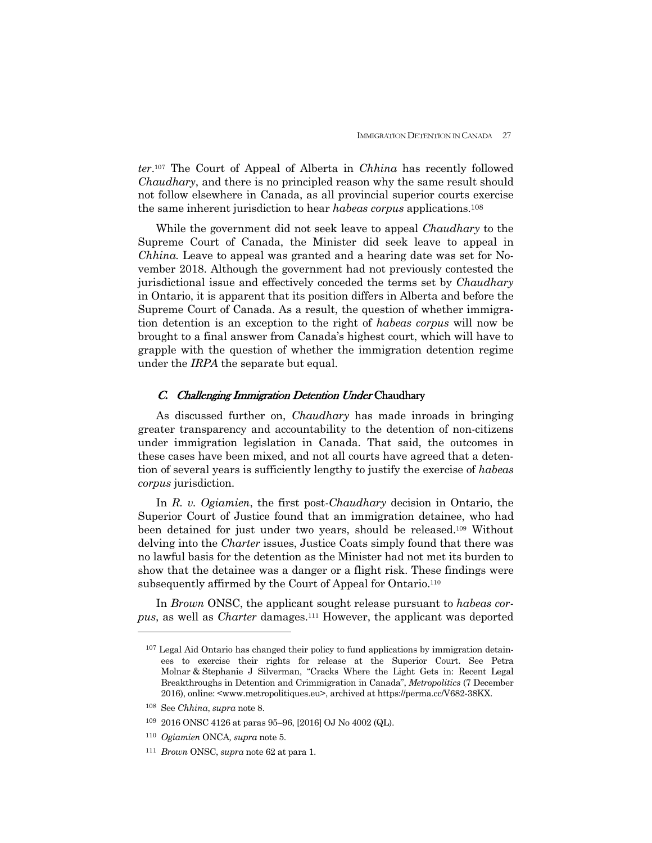*ter*.107 The Court of Appeal of Alberta in *Chhina* has recently followed *Chaudhary*, and there is no principled reason why the same result should not follow elsewhere in Canada, as all provincial superior courts exercise the same inherent jurisdiction to hear *habeas corpus* applications.108

 While the government did not seek leave to appeal *Chaudhary* to the Supreme Court of Canada, the Minister did seek leave to appeal in *Chhina.* Leave to appeal was granted and a hearing date was set for November 2018. Although the government had not previously contested the jurisdictional issue and effectively conceded the terms set by *Chaudhary*  in Ontario, it is apparent that its position differs in Alberta and before the Supreme Court of Canada. As a result, the question of whether immigration detention is an exception to the right of *habeas corpus* will now be brought to a final answer from Canada's highest court, which will have to grapple with the question of whether the immigration detention regime under the *IRPA* the separate but equal.

## C. Challenging Immigration Detention Under Chaudhary

 As discussed further on, *Chaudhary* has made inroads in bringing greater transparency and accountability to the detention of non-citizens under immigration legislation in Canada. That said, the outcomes in these cases have been mixed, and not all courts have agreed that a detention of several years is sufficiently lengthy to justify the exercise of *habeas corpus* jurisdiction.

 In *R. v. Ogiamien*, the first post-*Chaudhary* decision in Ontario, the Superior Court of Justice found that an immigration detainee, who had been detained for just under two years, should be released.109 Without delving into the *Charter* issues, Justice Coats simply found that there was no lawful basis for the detention as the Minister had not met its burden to show that the detainee was a danger or a flight risk. These findings were subsequently affirmed by the Court of Appeal for Ontario.110

 In *Brown* ONSC, the applicant sought release pursuant to *habeas corpus*, as well as *Charter* damages.111 However, the applicant was deported

<sup>107</sup> Legal Aid Ontario has changed their policy to fund applications by immigration detainees to exercise their rights for release at the Superior Court. See Petra Molnar & Stephanie J Silverman, "Cracks Where the Light Gets in: Recent Legal Breakthroughs in Detention and Crimmigration in Canada", *Metropolitics* (7 December 2016), online: <www.metropolitiques.eu>, archived at https://perma.cc/V682-38KX.

<sup>108</sup> See *Chhina*, *supra* note 8.

<sup>109 2016</sup> ONSC 4126 at paras 95–96, [2016] OJ No 4002 (QL).

<sup>110</sup> *Ogiamien* ONCA*, supra* note 5.

<sup>111</sup> *Brown* ONSC, *supra* note 62 at para 1.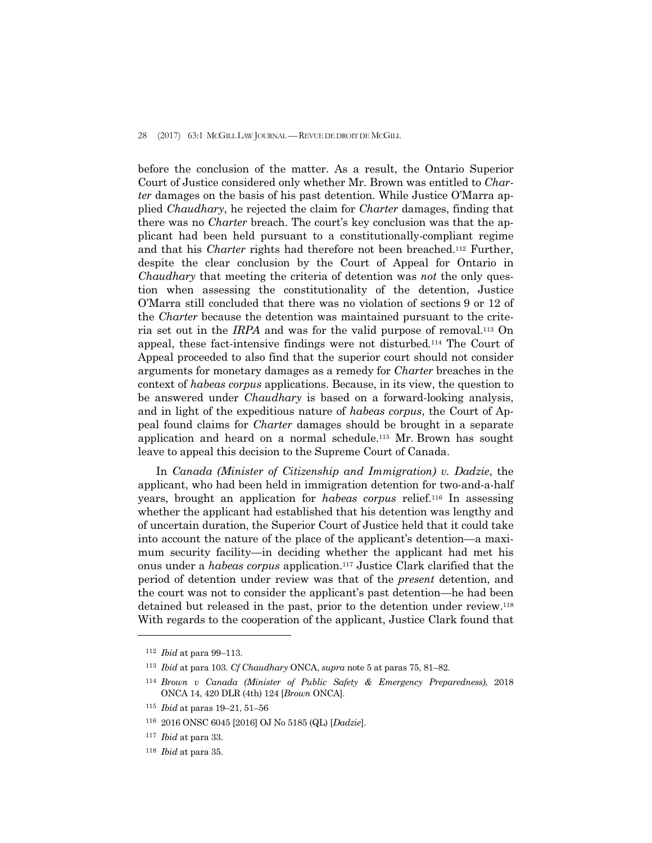#### 28 (2017) 63:1 MCGILL LAW JOURNAL — REVUE DE DROIT DE MCGILL

before the conclusion of the matter. As a result, the Ontario Superior Court of Justice considered only whether Mr. Brown was entitled to *Charter* damages on the basis of his past detention. While Justice O'Marra applied *Chaudhary*, he rejected the claim for *Charter* damages, finding that there was no *Charter* breach. The court's key conclusion was that the applicant had been held pursuant to a constitutionally-compliant regime and that his *Charter* rights had therefore not been breached.112 Further, despite the clear conclusion by the Court of Appeal for Ontario in *Chaudhary* that meeting the criteria of detention was *not* the only question when assessing the constitutionality of the detention, Justice O'Marra still concluded that there was no violation of sections 9 or 12 of the *Charter* because the detention was maintained pursuant to the criteria set out in the *IRPA* and was for the valid purpose of removal.113 On appeal, these fact-intensive findings were not disturbed*.*<sup>114</sup> The Court of Appeal proceeded to also find that the superior court should not consider arguments for monetary damages as a remedy for *Charter* breaches in the context of *habeas corpus* applications. Because, in its view, the question to be answered under *Chaudhary* is based on a forward-looking analysis, and in light of the expeditious nature of *habeas corpus*, the Court of Appeal found claims for *Charter* damages should be brought in a separate application and heard on a normal schedule.115 Mr. Brown has sought leave to appeal this decision to the Supreme Court of Canada.

 In *Canada (Minister of Citizenship and Immigration) v. Dadzie*, the applicant, who had been held in immigration detention for two-and-a-half years, brought an application for *habeas corpus* relief.116 In assessing whether the applicant had established that his detention was lengthy and of uncertain duration, the Superior Court of Justice held that it could take into account the nature of the place of the applicant's detention—a maximum security facility—in deciding whether the applicant had met his onus under a *habeas corpus* application.117 Justice Clark clarified that the period of detention under review was that of the *present* detention, and the court was not to consider the applicant's past detention—he had been detained but released in the past, prior to the detention under review.118 With regards to the cooperation of the applicant, Justice Clark found that

<sup>112</sup> *Ibid* at para 99–113.

<sup>113</sup> *Ibid* at para 103. *Cf Chaudhary* ONCA, *supra* note 5 at paras 75, 81–82.

<sup>114</sup> *Brown v Canada (Minister of Public Safety & Emergency Preparedness)*, 2018 ONCA 14, 420 DLR (4th) 124 [*Brown* ONCA].

<sup>115</sup> *Ibid* at paras 19–21, 51–56

<sup>116 2016</sup> ONSC 6045 [2016] OJ No 5185 (QL) [*Dadzie*].

<sup>117</sup> *Ibid* at para 33.

<sup>118</sup> *Ibid* at para 35.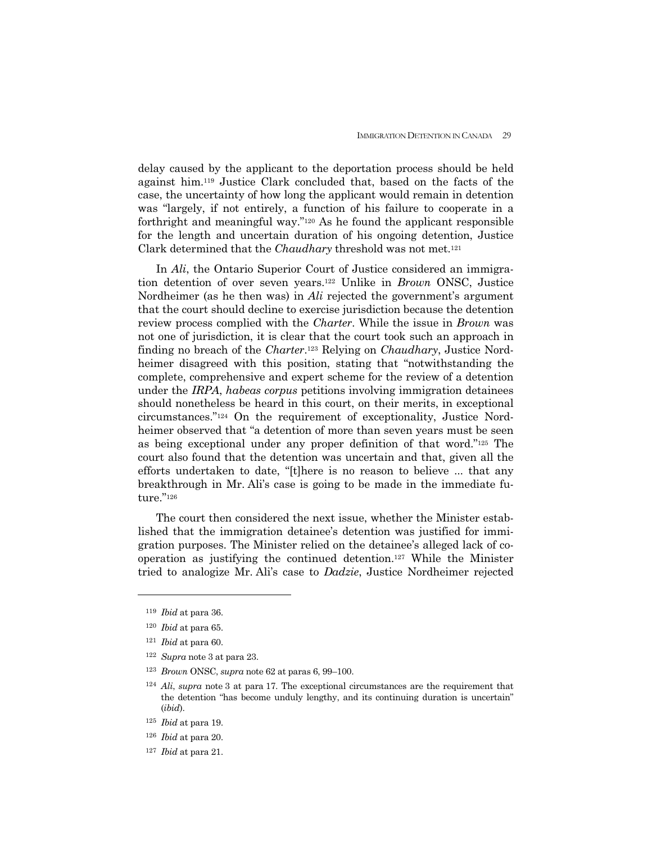delay caused by the applicant to the deportation process should be held against him.119 Justice Clark concluded that, based on the facts of the case, the uncertainty of how long the applicant would remain in detention was "largely, if not entirely, a function of his failure to cooperate in a forthright and meaningful way."120 As he found the applicant responsible for the length and uncertain duration of his ongoing detention, Justice Clark determined that the *Chaudhary* threshold was not met.121

 In *Ali*, the Ontario Superior Court of Justice considered an immigration detention of over seven years.122 Unlike in *Brown* ONSC, Justice Nordheimer (as he then was) in *Ali* rejected the government's argument that the court should decline to exercise jurisdiction because the detention review process complied with the *Charter*. While the issue in *Brown* was not one of jurisdiction, it is clear that the court took such an approach in finding no breach of the *Charter*.123 Relying on *Chaudhary*, Justice Nordheimer disagreed with this position, stating that "notwithstanding the complete, comprehensive and expert scheme for the review of a detention under the *IRPA*, *habeas corpus* petitions involving immigration detainees should nonetheless be heard in this court, on their merits, in exceptional circumstances."124 On the requirement of exceptionality, Justice Nordheimer observed that "a detention of more than seven years must be seen as being exceptional under any proper definition of that word."125 The court also found that the detention was uncertain and that, given all the efforts undertaken to date, "[t]here is no reason to believe ... that any breakthrough in Mr. Ali's case is going to be made in the immediate future."126

 The court then considered the next issue, whether the Minister established that the immigration detainee's detention was justified for immigration purposes. The Minister relied on the detainee's alleged lack of cooperation as justifying the continued detention.127 While the Minister tried to analogize Mr. Ali's case to *Dadzie*, Justice Nordheimer rejected

- <sup>122</sup> *Supra* note 3 at para 23.
- <sup>123</sup> *Brown* ONSC, *supra* note 62 at paras 6, 99–100.
- <sup>124</sup> *Ali*, *supra* note 3 at para 17. The exceptional circumstances are the requirement that the detention "has become unduly lengthy, and its continuing duration is uncertain" (*ibid*).
- <sup>125</sup> *Ibid* at para 19.
- <sup>126</sup> *Ibid* at para 20.
- 127 *Ibid* at para 21.

<sup>119</sup> *Ibid* at para 36.

<sup>120</sup> *Ibid* at para 65.

<sup>121</sup> *Ibid* at para 60.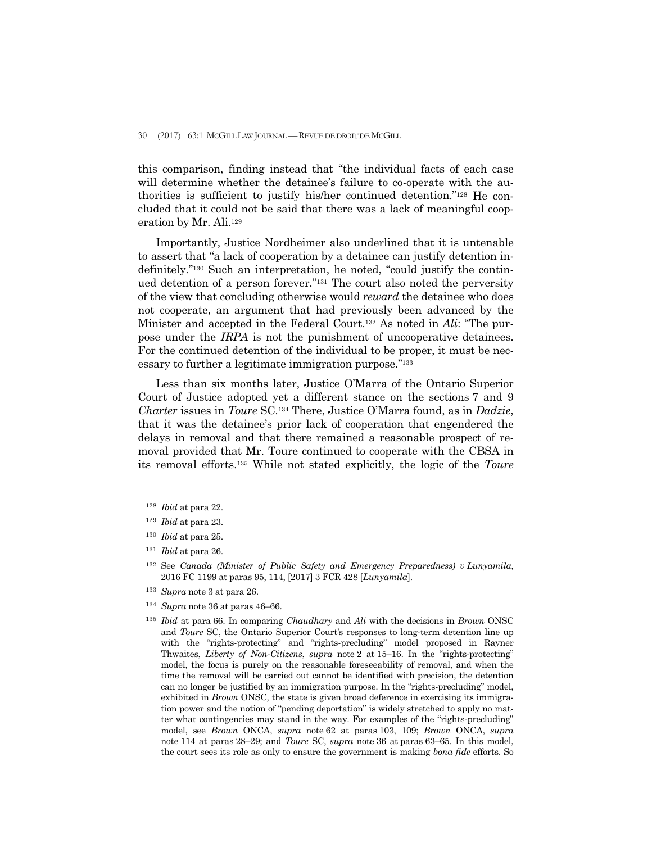this comparison, finding instead that "the individual facts of each case will determine whether the detainee's failure to co-operate with the authorities is sufficient to justify his/her continued detention."128 He concluded that it could not be said that there was a lack of meaningful cooperation by Mr. Ali.129

 Importantly, Justice Nordheimer also underlined that it is untenable to assert that "a lack of cooperation by a detainee can justify detention indefinitely."130 Such an interpretation, he noted, "could justify the continued detention of a person forever."131 The court also noted the perversity of the view that concluding otherwise would *reward* the detainee who does not cooperate, an argument that had previously been advanced by the Minister and accepted in the Federal Court.132 As noted in *Ali*: "The purpose under the *IRPA* is not the punishment of uncooperative detainees. For the continued detention of the individual to be proper, it must be necessary to further a legitimate immigration purpose."133

 Less than six months later, Justice O'Marra of the Ontario Superior Court of Justice adopted yet a different stance on the sections 7 and 9 *Charter* issues in *Toure* SC.134 There, Justice O'Marra found, as in *Dadzie*, that it was the detainee's prior lack of cooperation that engendered the delays in removal and that there remained a reasonable prospect of removal provided that Mr. Toure continued to cooperate with the CBSA in its removal efforts.135 While not stated explicitly, the logic of the *Toure*

- <sup>133</sup> *Supra* note 3 at para 26.
- <sup>134</sup> *Supra* note 36 at paras 46–66.

<sup>128</sup> *Ibid* at para 22.

<sup>129</sup> *Ibid* at para 23.

<sup>130</sup> *Ibid* at para 25.

<sup>131</sup> *Ibid* at para 26.

<sup>132</sup> See *Canada (Minister of Public Safety and Emergency Preparedness) v Lunyamila*, 2016 FC 1199 at paras 95, 114, [2017] 3 FCR 428 [*Lunyamila*].

<sup>135</sup> *Ibid* at para 66. In comparing *Chaudhary* and *Ali* with the decisions in *Brown* ONSC and *Toure* SC, the Ontario Superior Court's responses to long-term detention line up with the "rights-protecting" and "rights-precluding" model proposed in Rayner Thwaites, *Liberty of Non-Citizens*, *supra* note 2 at 15–16. In the "rights-protecting" model, the focus is purely on the reasonable foreseeability of removal, and when the time the removal will be carried out cannot be identified with precision, the detention can no longer be justified by an immigration purpose. In the "rights-precluding" model, exhibited in *Brown* ONSC*,* the state is given broad deference in exercising its immigration power and the notion of "pending deportation" is widely stretched to apply no matter what contingencies may stand in the way. For examples of the "rights-precluding" model, see *Brown* ONCA, *supra* note 62 at paras 103, 109; *Brown* ONCA, *supra*  note 114 at paras 28–29; and *Toure* SC, *supra* note 36 at paras 63–65. In this model, the court sees its role as only to ensure the government is making *bona fide* efforts. So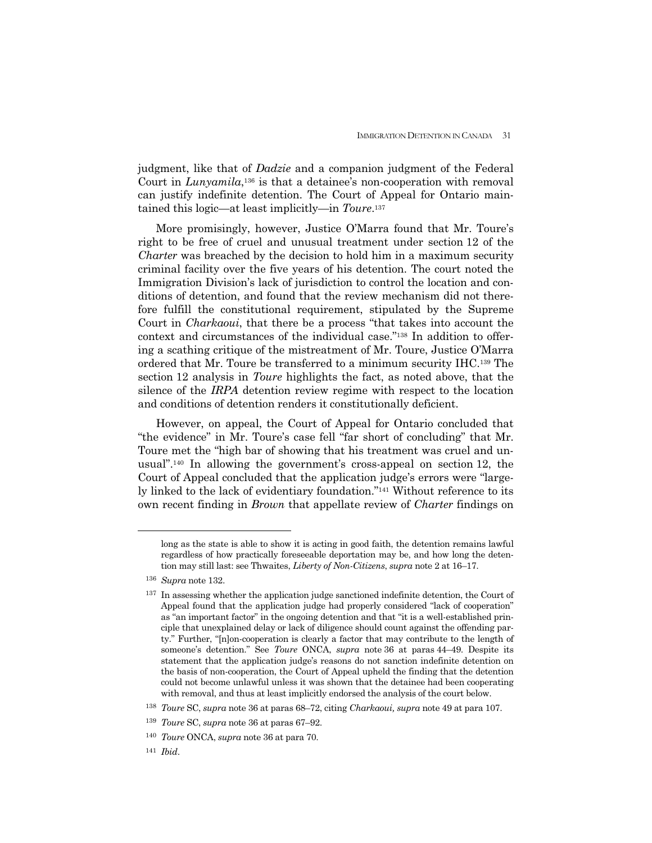judgment, like that of *Dadzie* and a companion judgment of the Federal Court in *Lunyamila*,<sup>136</sup> is that a detainee's non-cooperation with removal can justify indefinite detention. The Court of Appeal for Ontario maintained this logic—at least implicitly—in *Toure*.137

 More promisingly, however, Justice O'Marra found that Mr. Toure's right to be free of cruel and unusual treatment under section 12 of the *Charter* was breached by the decision to hold him in a maximum security criminal facility over the five years of his detention. The court noted the Immigration Division's lack of jurisdiction to control the location and conditions of detention, and found that the review mechanism did not therefore fulfill the constitutional requirement, stipulated by the Supreme Court in *Charkaoui*, that there be a process "that takes into account the context and circumstances of the individual case."138 In addition to offering a scathing critique of the mistreatment of Mr. Toure, Justice O'Marra ordered that Mr. Toure be transferred to a minimum security IHC.139 The section 12 analysis in *Toure* highlights the fact, as noted above, that the silence of the *IRPA* detention review regime with respect to the location and conditions of detention renders it constitutionally deficient.

 However, on appeal, the Court of Appeal for Ontario concluded that "the evidence" in Mr. Toure's case fell "far short of concluding" that Mr. Toure met the "high bar of showing that his treatment was cruel and unusual".140 In allowing the government's cross-appeal on section 12, the Court of Appeal concluded that the application judge's errors were "largely linked to the lack of evidentiary foundation."141 Without reference to its own recent finding in *Brown* that appellate review of *Charter* findings on

 $\overline{a}$ 

long as the state is able to show it is acting in good faith, the detention remains lawful regardless of how practically foreseeable deportation may be, and how long the detention may still last: see Thwaites, *Liberty of Non-Citizens*, *supra* note 2 at 16–17.

<sup>136</sup> *Supra* note 132.

<sup>&</sup>lt;sup>137</sup> In assessing whether the application judge sanctioned indefinite detention, the Court of Appeal found that the application judge had properly considered "lack of cooperation" as "an important factor" in the ongoing detention and that "it is a well-established principle that unexplained delay or lack of diligence should count against the offending party." Further, "[n]on-cooperation is clearly a factor that may contribute to the length of someone's detention." See *Toure* ONCA, *supra* note 36 at paras 44–49. Despite its statement that the application judge's reasons do not sanction indefinite detention on the basis of non-cooperation, the Court of Appeal upheld the finding that the detention could not become unlawful unless it was shown that the detainee had been cooperating with removal, and thus at least implicitly endorsed the analysis of the court below.

<sup>138</sup> *Toure* SC, *supra* note 36 at paras 68–72, citing *Charkaoui, supra* note 49 at para 107.

<sup>139</sup> *Toure* SC, *supra* note 36 at paras 67–92.

<sup>140</sup> *Toure* ONCA, *supra* note 36 at para 70.

<sup>141</sup> *Ibid*.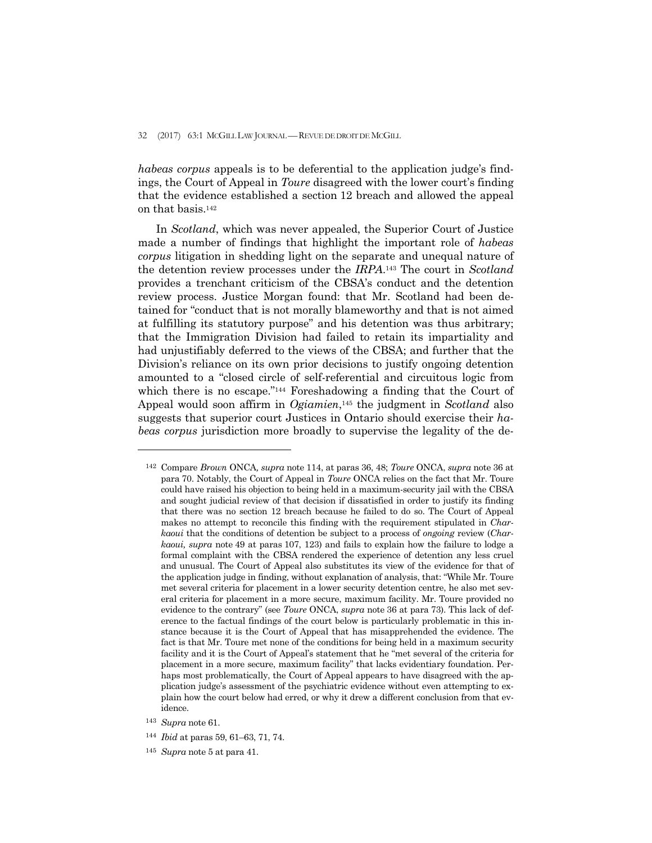*habeas corpus* appeals is to be deferential to the application judge's findings, the Court of Appeal in *Toure* disagreed with the lower court's finding that the evidence established a section 12 breach and allowed the appeal on that basis.142

 In *Scotland*, which was never appealed, the Superior Court of Justice made a number of findings that highlight the important role of *habeas corpus* litigation in shedding light on the separate and unequal nature of the detention review processes under the *IRPA*.143 The court in *Scotland* provides a trenchant criticism of the CBSA's conduct and the detention review process. Justice Morgan found: that Mr. Scotland had been detained for "conduct that is not morally blameworthy and that is not aimed at fulfilling its statutory purpose" and his detention was thus arbitrary; that the Immigration Division had failed to retain its impartiality and had unjustifiably deferred to the views of the CBSA; and further that the Division's reliance on its own prior decisions to justify ongoing detention amounted to a "closed circle of self-referential and circuitous logic from which there is no escape."<sup>144</sup> Foreshadowing a finding that the Court of Appeal would soon affirm in *Ogiamien*,145 the judgment in *Scotland* also suggests that superior court Justices in Ontario should exercise their *habeas corpus* jurisdiction more broadly to supervise the legality of the de-

-

<sup>142</sup> Compare *Brown* ONCA*, supra* note 114, at paras 36, 48; *Toure* ONCA, *supra* note 36 at para 70. Notably, the Court of Appeal in *Toure* ONCA relies on the fact that Mr. Toure could have raised his objection to being held in a maximum-security jail with the CBSA and sought judicial review of that decision if dissatisfied in order to justify its finding that there was no section 12 breach because he failed to do so. The Court of Appeal makes no attempt to reconcile this finding with the requirement stipulated in *Charkaoui* that the conditions of detention be subject to a process of *ongoing* review (*Charkaoui, supra* note 49 at paras 107, 123) and fails to explain how the failure to lodge a formal complaint with the CBSA rendered the experience of detention any less cruel and unusual. The Court of Appeal also substitutes its view of the evidence for that of the application judge in finding, without explanation of analysis, that: "While Mr. Toure met several criteria for placement in a lower security detention centre, he also met several criteria for placement in a more secure, maximum facility. Mr. Toure provided no evidence to the contrary" (see *Toure* ONCA, *supra* note 36 at para 73). This lack of deference to the factual findings of the court below is particularly problematic in this instance because it is the Court of Appeal that has misapprehended the evidence. The fact is that Mr. Toure met none of the conditions for being held in a maximum security facility and it is the Court of Appeal's statement that he "met several of the criteria for placement in a more secure, maximum facility" that lacks evidentiary foundation. Perhaps most problematically, the Court of Appeal appears to have disagreed with the application judge's assessment of the psychiatric evidence without even attempting to explain how the court below had erred, or why it drew a different conclusion from that evidence.

<sup>143</sup> *Supra* note 61.

<sup>144</sup> *Ibid* at paras 59, 61–63, 71, 74.

<sup>145</sup> *Supra* note 5 at para 41.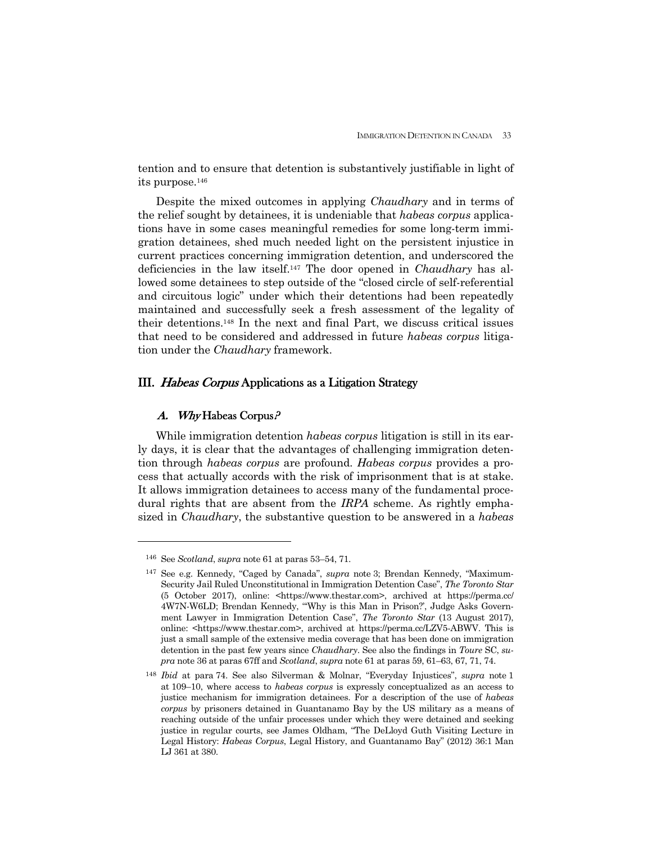tention and to ensure that detention is substantively justifiable in light of its purpose.146

 Despite the mixed outcomes in applying *Chaudhary* and in terms of the relief sought by detainees, it is undeniable that *habeas corpus* applications have in some cases meaningful remedies for some long-term immigration detainees, shed much needed light on the persistent injustice in current practices concerning immigration detention, and underscored the deficiencies in the law itself.147 The door opened in *Chaudhary* has allowed some detainees to step outside of the "closed circle of self-referential and circuitous logic" under which their detentions had been repeatedly maintained and successfully seek a fresh assessment of the legality of their detentions.148 In the next and final Part, we discuss critical issues that need to be considered and addressed in future *habeas corpus* litigation under the *Chaudhary* framework.

## III. Habeas Corpus Applications as a Litigation Strategy

## A. Why Habeas Corpus?

1

 While immigration detention *habeas corpus* litigation is still in its early days, it is clear that the advantages of challenging immigration detention through *habeas corpus* are profound. *Habeas corpus* provides a process that actually accords with the risk of imprisonment that is at stake. It allows immigration detainees to access many of the fundamental procedural rights that are absent from the *IRPA* scheme. As rightly emphasized in *Chaudhary*, the substantive question to be answered in a *habeas* 

<sup>146</sup> See *Scotland*, *supra* note 61 at paras 53–54, 71.

<sup>147</sup> See e.g. Kennedy, "Caged by Canada", *supra* note 3; Brendan Kennedy, "Maximum-Security Jail Ruled Unconstitutional in Immigration Detention Case", *The Toronto Star* (5 October 2017), online: <https://www.thestar.com>, archived at https://perma.cc/ 4W7N-W6LD; Brendan Kennedy, "'Why is this Man in Prison?', Judge Asks Government Lawyer in Immigration Detention Case", *The Toronto Star* (13 August 2017), online: <https://www.thestar.com>, archived at https://perma.cc/LZV5-ABWV. This is just a small sample of the extensive media coverage that has been done on immigration detention in the past few years since *Chaudhary*. See also the findings in *Toure* SC, *supra* note 36 at paras 67ff and *Scotland*, *supra* note 61 at paras 59, 61–63, 67, 71, 74.

<sup>148</sup> *Ibid* at para 74. See also Silverman & Molnar, "Everyday Injustices", *supra* note 1 at 109–10, where access to *habeas corpus* is expressly conceptualized as an access to justice mechanism for immigration detainees. For a description of the use of *habeas corpus* by prisoners detained in Guantanamo Bay by the US military as a means of reaching outside of the unfair processes under which they were detained and seeking justice in regular courts, see James Oldham, "The DeLloyd Guth Visiting Lecture in Legal History: *Habeas Corpus*, Legal History, and Guantanamo Bay" (2012) 36:1 Man LJ 361 at 380.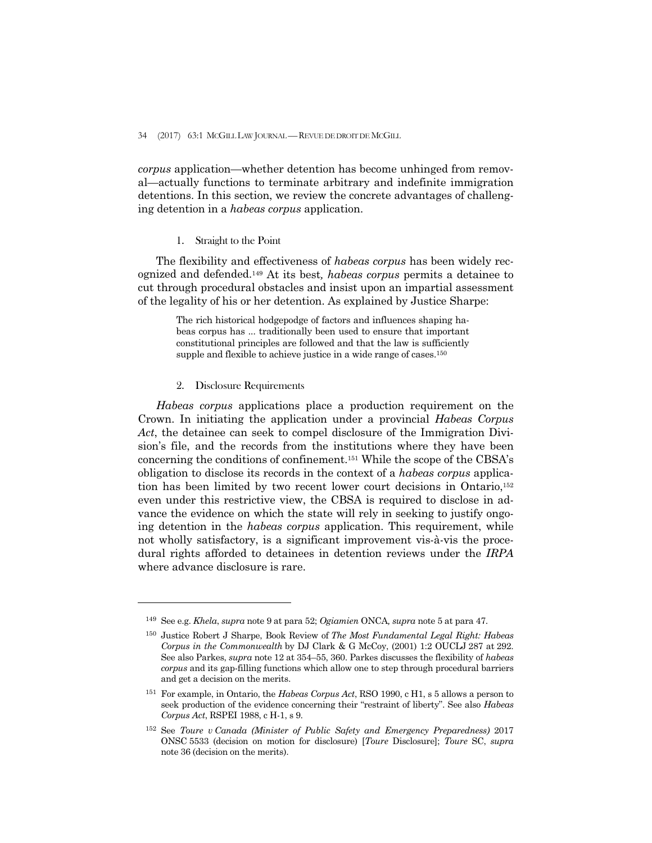*corpus* application—whether detention has become unhinged from removal—actually functions to terminate arbitrary and indefinite immigration detentions. In this section, we review the concrete advantages of challenging detention in a *habeas corpus* application.

#### 1. Straight to the Point

 The flexibility and effectiveness of *habeas corpus* has been widely recognized and defended.149 At its best*, habeas corpus* permits a detainee to cut through procedural obstacles and insist upon an impartial assessment of the legality of his or her detention. As explained by Justice Sharpe:

> The rich historical hodgepodge of factors and influences shaping habeas corpus has ... traditionally been used to ensure that important constitutional principles are followed and that the law is sufficiently supple and flexible to achieve justice in a wide range of cases.<sup>150</sup>

## 2. Disclosure Requirements

-

 *Habeas corpus* applications place a production requirement on the Crown. In initiating the application under a provincial *Habeas Corpus Act*, the detainee can seek to compel disclosure of the Immigration Division's file, and the records from the institutions where they have been concerning the conditions of confinement.151 While the scope of the CBSA's obligation to disclose its records in the context of a *habeas corpus* application has been limited by two recent lower court decisions in Ontario,152 even under this restrictive view, the CBSA is required to disclose in advance the evidence on which the state will rely in seeking to justify ongoing detention in the *habeas corpus* application. This requirement, while not wholly satisfactory, is a significant improvement vis-à-vis the procedural rights afforded to detainees in detention reviews under the *IRPA* where advance disclosure is rare.

<sup>149</sup> See e.g. *Khela*, *supra* note 9 at para 52; *Ogiamien* ONCA*, supra* note 5 at para 47.

<sup>150</sup> Justice Robert J Sharpe, Book Review of *The Most Fundamental Legal Right: Habeas Corpus in the Commonwealth* by DJ Clark & G McCoy, (2001) 1:2 OUCLJ 287 at 292. See also Parkes, *supra* note 12 at 354–55, 360. Parkes discusses the flexibility of *habeas corpus* and its gap-filling functions which allow one to step through procedural barriers and get a decision on the merits.

<sup>151</sup> For example, in Ontario, the *Habeas Corpus Act*, RSO 1990, c H1, s 5 allows a person to seek production of the evidence concerning their "restraint of liberty". See also *Habeas Corpus Act*, RSPEI 1988, c H-1, s 9.

<sup>152</sup> See *Toure v Canada (Minister of Public Safety and Emergency Preparedness)* 2017 ONSC 5533 (decision on motion for disclosure) [*Toure* Disclosure]; *Toure* SC, *supra* note 36 (decision on the merits).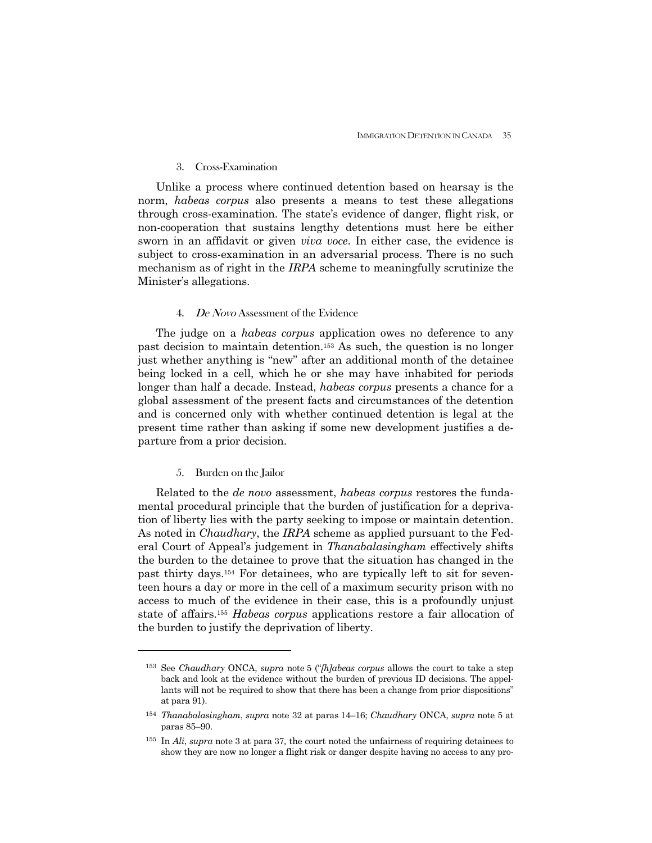### 3. Cross-Examination

 Unlike a process where continued detention based on hearsay is the norm, *habeas corpus* also presents a means to test these allegations through cross-examination. The state's evidence of danger, flight risk, or non-cooperation that sustains lengthy detentions must here be either sworn in an affidavit or given *viva voce*. In either case, the evidence is subject to cross-examination in an adversarial process. There is no such mechanism as of right in the *IRPA* scheme to meaningfully scrutinize the Minister's allegations.

#### 4. De Novo Assessment of the Evidence

 The judge on a *habeas corpus* application owes no deference to any past decision to maintain detention.153 As such, the question is no longer just whether anything is "new" after an additional month of the detainee being locked in a cell, which he or she may have inhabited for periods longer than half a decade. Instead, *habeas corpus* presents a chance for a global assessment of the present facts and circumstances of the detention and is concerned only with whether continued detention is legal at the present time rather than asking if some new development justifies a departure from a prior decision.

## 5. Burden on the Jailor

-

 Related to the *de novo* assessment, *habeas corpus* restores the fundamental procedural principle that the burden of justification for a deprivation of liberty lies with the party seeking to impose or maintain detention. As noted in *Chaudhary*, the *IRPA* scheme as applied pursuant to the Federal Court of Appeal's judgement in *Thanabalasingham* effectively shifts the burden to the detainee to prove that the situation has changed in the past thirty days.154 For detainees, who are typically left to sit for seventeen hours a day or more in the cell of a maximum security prison with no access to much of the evidence in their case, this is a profoundly unjust state of affairs.155 *Habeas corpus* applications restore a fair allocation of the burden to justify the deprivation of liberty.

<sup>153</sup> See *Chaudhary* ONCA, *supra* note 5 ("*[h]abeas corpus* allows the court to take a step back and look at the evidence without the burden of previous ID decisions. The appellants will not be required to show that there has been a change from prior dispositions" at para 91).

<sup>154</sup> *Thanabalasingham*, *supra* note 32 at paras 14–16; *Chaudhary* ONCA, *supra* note 5 at paras 85–90.

<sup>155</sup> In *Ali*, *supra* note 3 at para 37*,* the court noted the unfairness of requiring detainees to show they are now no longer a flight risk or danger despite having no access to any pro-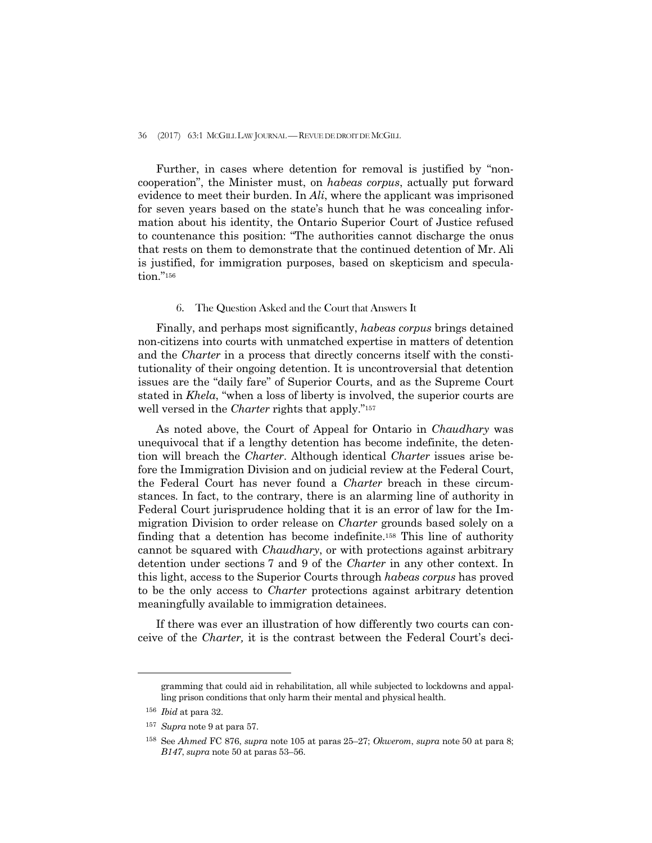#### 36 (2017) 63:1 MCGILL LAW JOURNAL —REVUE DE DROIT DE MCGILL

 Further, in cases where detention for removal is justified by "noncooperation", the Minister must, on *habeas corpus*, actually put forward evidence to meet their burden. In *Ali*, where the applicant was imprisoned for seven years based on the state's hunch that he was concealing information about his identity, the Ontario Superior Court of Justice refused to countenance this position: "The authorities cannot discharge the onus that rests on them to demonstrate that the continued detention of Mr. Ali is justified, for immigration purposes, based on skepticism and speculation."156

### 6. The Question Asked and the Court that Answers It

 Finally, and perhaps most significantly, *habeas corpus* brings detained non-citizens into courts with unmatched expertise in matters of detention and the *Charter* in a process that directly concerns itself with the constitutionality of their ongoing detention. It is uncontroversial that detention issues are the "daily fare" of Superior Courts, and as the Supreme Court stated in *Khela*, "when a loss of liberty is involved, the superior courts are well versed in the *Charter* rights that apply."<sup>157</sup>

 As noted above, the Court of Appeal for Ontario in *Chaudhary* was unequivocal that if a lengthy detention has become indefinite, the detention will breach the *Charter*. Although identical *Charter* issues arise before the Immigration Division and on judicial review at the Federal Court, the Federal Court has never found a *Charter* breach in these circumstances*.* In fact, to the contrary, there is an alarming line of authority in Federal Court jurisprudence holding that it is an error of law for the Immigration Division to order release on *Charter* grounds based solely on a finding that a detention has become indefinite.158 This line of authority cannot be squared with *Chaudhary*, or with protections against arbitrary detention under sections 7 and 9 of the *Charter* in any other context. In this light, access to the Superior Courts through *habeas corpus* has proved to be the only access to *Charter* protections against arbitrary detention meaningfully available to immigration detainees.

 If there was ever an illustration of how differently two courts can conceive of the *Charter,* it is the contrast between the Federal Court's deci-

 $\overline{a}$ 

gramming that could aid in rehabilitation, all while subjected to lockdowns and appalling prison conditions that only harm their mental and physical health.

<sup>156</sup> *Ibid* at para 32.

<sup>157</sup> *Supra* note 9 at para 57.

<sup>158</sup> See *Ahmed* FC 876, *supra* note 105 at paras 25–27; *Okwerom*, *supra* note 50 at para 8; *B147*, *supra* note 50 at paras 53–56.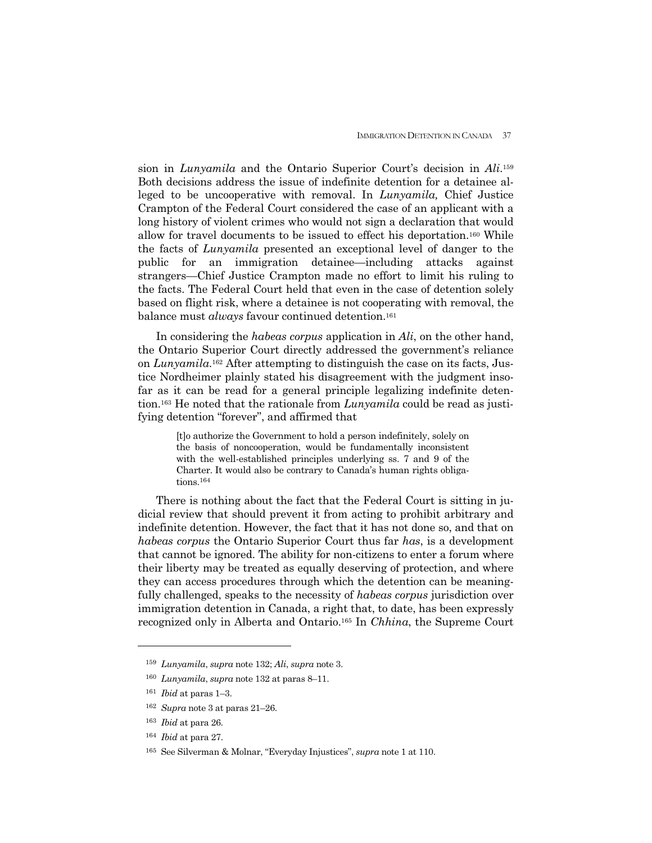sion in *Lunyamila* and the Ontario Superior Court's decision in *Ali*.159 Both decisions address the issue of indefinite detention for a detainee alleged to be uncooperative with removal. In *Lunyamila,* Chief Justice Crampton of the Federal Court considered the case of an applicant with a long history of violent crimes who would not sign a declaration that would allow for travel documents to be issued to effect his deportation.160 While the facts of *Lunyamila* presented an exceptional level of danger to the public for an immigration detainee—including attacks against strangers—Chief Justice Crampton made no effort to limit his ruling to the facts. The Federal Court held that even in the case of detention solely based on flight risk, where a detainee is not cooperating with removal, the balance must *always* favour continued detention.161

 In considering the *habeas corpus* application in *Ali*, on the other hand, the Ontario Superior Court directly addressed the government's reliance on *Lunyamila*.162 After attempting to distinguish the case on its facts, Justice Nordheimer plainly stated his disagreement with the judgment insofar as it can be read for a general principle legalizing indefinite detention.163 He noted that the rationale from *Lunyamila* could be read as justifying detention "forever", and affirmed that

> [t]o authorize the Government to hold a person indefinitely, solely on the basis of noncooperation, would be fundamentally inconsistent with the well-established principles underlying ss. 7 and 9 of the Charter. It would also be contrary to Canada's human rights obligations.<sup>164</sup>

 There is nothing about the fact that the Federal Court is sitting in judicial review that should prevent it from acting to prohibit arbitrary and indefinite detention. However, the fact that it has not done so, and that on *habeas corpus* the Ontario Superior Court thus far *has*, is a development that cannot be ignored. The ability for non-citizens to enter a forum where their liberty may be treated as equally deserving of protection, and where they can access procedures through which the detention can be meaningfully challenged, speaks to the necessity of *habeas corpus* jurisdiction over immigration detention in Canada, a right that, to date, has been expressly recognized only in Alberta and Ontario.165 In *Chhina*, the Supreme Court

<sup>159</sup> *Lunyamila*, *supra* note 132; *Ali*, *supra* note 3.

<sup>160</sup> *Lunyamila*, *supra* note 132 at paras 8–11.

<sup>161</sup> *Ibid* at paras 1–3.

<sup>162</sup> *Supra* note 3 at paras 21–26.

<sup>163</sup> *Ibid* at para 26.

<sup>164</sup> *Ibid* at para 27.

<sup>165</sup> See Silverman & Molnar, "Everyday Injustices", *supra* note 1 at 110.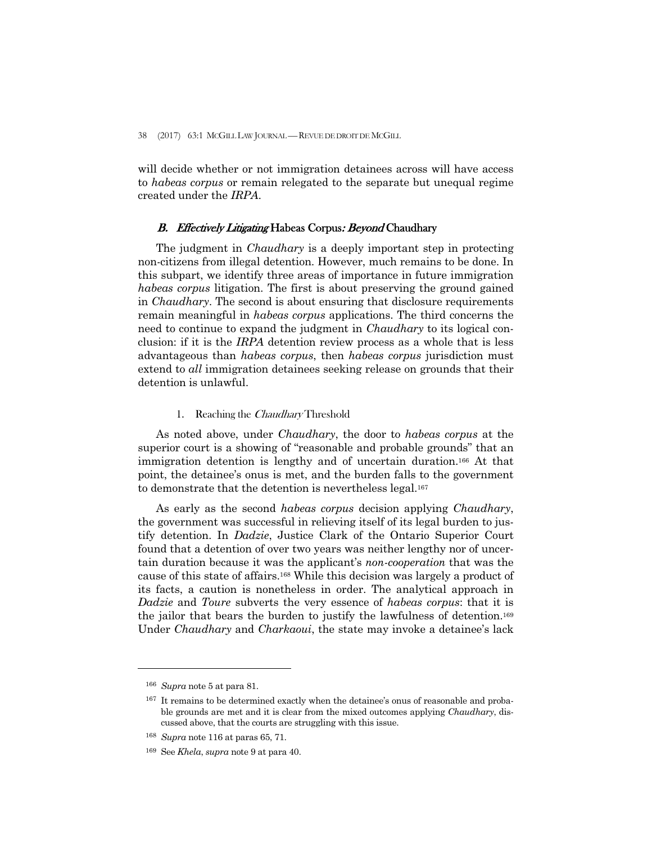38 (2017) 63:1 MCGILL LAW JOURNAL — REVUE DE DROIT DE MCGILL

will decide whether or not immigration detainees across will have access to *habeas corpus* or remain relegated to the separate but unequal regime created under the *IRPA*.

## B. Effectively Litigating Habeas Corpus: Beyond Chaudhary

 The judgment in *Chaudhary* is a deeply important step in protecting non-citizens from illegal detention. However, much remains to be done. In this subpart, we identify three areas of importance in future immigration *habeas corpus* litigation. The first is about preserving the ground gained in *Chaudhary*. The second is about ensuring that disclosure requirements remain meaningful in *habeas corpus* applications. The third concerns the need to continue to expand the judgment in *Chaudhary* to its logical conclusion: if it is the *IRPA* detention review process as a whole that is less advantageous than *habeas corpus*, then *habeas corpus* jurisdiction must extend to *all* immigration detainees seeking release on grounds that their detention is unlawful.

## 1. Reaching the Chaudhary Threshold

 As noted above, under *Chaudhary*, the door to *habeas corpus* at the superior court is a showing of "reasonable and probable grounds" that an immigration detention is lengthy and of uncertain duration.166 At that point, the detainee's onus is met, and the burden falls to the government to demonstrate that the detention is nevertheless legal.167

 As early as the second *habeas corpus* decision applying *Chaudhary*, the government was successful in relieving itself of its legal burden to justify detention. In *Dadzie*, Justice Clark of the Ontario Superior Court found that a detention of over two years was neither lengthy nor of uncertain duration because it was the applicant's *non-cooperation* that was the cause of this state of affairs.168 While this decision was largely a product of its facts, a caution is nonetheless in order. The analytical approach in *Dadzie* and *Toure* subverts the very essence of *habeas corpus*: that it is the jailor that bears the burden to justify the lawfulness of detention.169 Under *Chaudhary* and *Charkaoui*, the state may invoke a detainee's lack

<sup>166</sup> *Supra* note 5 at para 81.

<sup>&</sup>lt;sup>167</sup> It remains to be determined exactly when the detainee's onus of reasonable and probable grounds are met and it is clear from the mixed outcomes applying *Chaudhary*, discussed above, that the courts are struggling with this issue.

<sup>168</sup> *Supra* note 116 at paras 65, 71.

<sup>169</sup> See *Khela*, *supra* note 9 at para 40.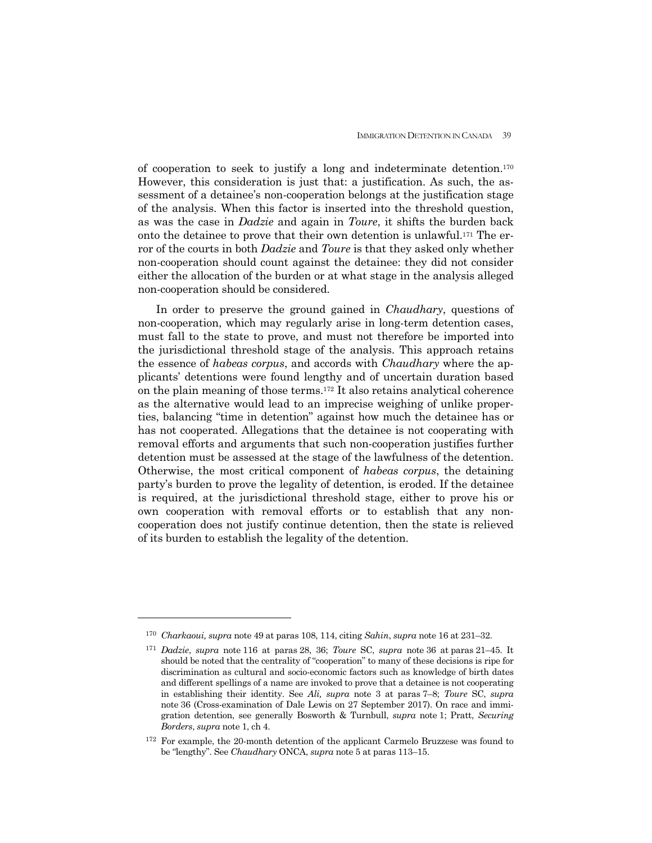of cooperation to seek to justify a long and indeterminate detention.170 However, this consideration is just that: a justification. As such, the assessment of a detainee's non-cooperation belongs at the justification stage of the analysis. When this factor is inserted into the threshold question, as was the case in *Dadzie* and again in *Toure*, it shifts the burden back onto the detainee to prove that their own detention is unlawful.171 The error of the courts in both *Dadzie* and *Toure* is that they asked only whether non-cooperation should count against the detainee: they did not consider either the allocation of the burden or at what stage in the analysis alleged non-cooperation should be considered.

 In order to preserve the ground gained in *Chaudhary*, questions of non-cooperation, which may regularly arise in long-term detention cases, must fall to the state to prove, and must not therefore be imported into the jurisdictional threshold stage of the analysis. This approach retains the essence of *habeas corpus*, and accords with *Chaudhary* where the applicants' detentions were found lengthy and of uncertain duration based on the plain meaning of those terms.172 It also retains analytical coherence as the alternative would lead to an imprecise weighing of unlike properties, balancing "time in detention" against how much the detainee has or has not cooperated. Allegations that the detainee is not cooperating with removal efforts and arguments that such non-cooperation justifies further detention must be assessed at the stage of the lawfulness of the detention. Otherwise, the most critical component of *habeas corpus*, the detaining party's burden to prove the legality of detention, is eroded. If the detainee is required, at the jurisdictional threshold stage, either to prove his or own cooperation with removal efforts or to establish that any noncooperation does not justify continue detention, then the state is relieved of its burden to establish the legality of the detention.

<sup>170</sup> *Charkaoui, supra* note 49 at paras 108, 114, citing *Sahin*, *supra* note 16 at 231–32.

<sup>171</sup> *Dadzie*, *supra* note 116 at paras 28, 36; *Toure* SC, *supra* note 36 at paras 21–45. It should be noted that the centrality of "cooperation" to many of these decisions is ripe for discrimination as cultural and socio-economic factors such as knowledge of birth dates and different spellings of a name are invoked to prove that a detainee is not cooperating in establishing their identity. See *Ali, supra* note 3 at paras 7–8; *Toure* SC, *supra* note 36 (Cross-examination of Dale Lewis on 27 September 2017). On race and immigration detention, see generally Bosworth & Turnbull, *supra* note 1; Pratt, *Securing Borders*, *supra* note 1, ch 4.

<sup>172</sup> For example, the 20-month detention of the applicant Carmelo Bruzzese was found to be "lengthy". See *Chaudhary* ONCA, *supra* note 5 at paras 113–15.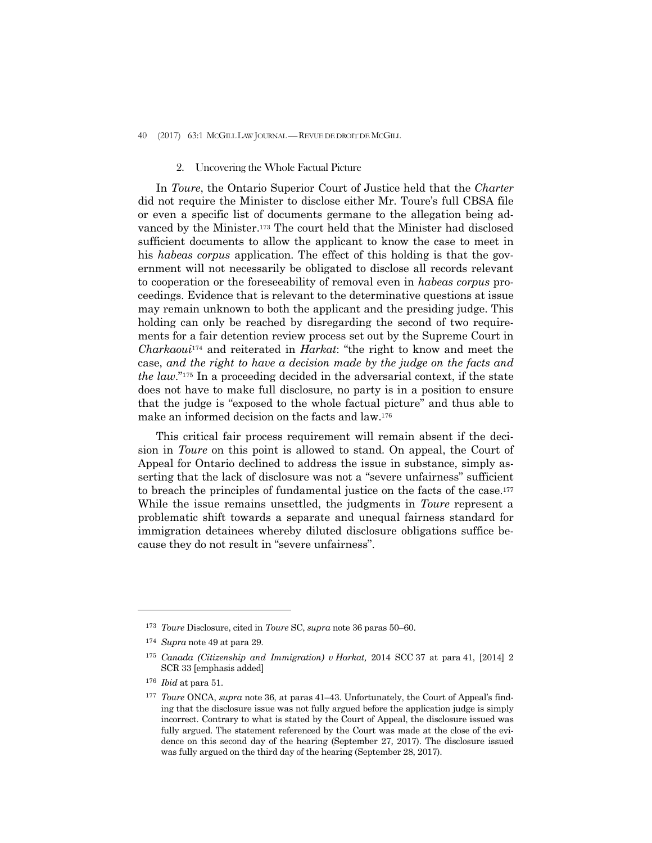40 (2017) 63:1 MCGILL LAW JOURNAL —REVUE DE DROIT DE MCGILL

#### 2. Uncovering the Whole Factual Picture

 In *Toure*, the Ontario Superior Court of Justice held that the *Charter*  did not require the Minister to disclose either Mr. Toure's full CBSA file or even a specific list of documents germane to the allegation being advanced by the Minister.173 The court held that the Minister had disclosed sufficient documents to allow the applicant to know the case to meet in his *habeas corpus* application. The effect of this holding is that the government will not necessarily be obligated to disclose all records relevant to cooperation or the foreseeability of removal even in *habeas corpus* proceedings. Evidence that is relevant to the determinative questions at issue may remain unknown to both the applicant and the presiding judge. This holding can only be reached by disregarding the second of two requirements for a fair detention review process set out by the Supreme Court in *Charkaoui*<sup>174</sup> and reiterated in *Harkat*: "the right to know and meet the case, *and the right to have a decision made by the judge on the facts and the law*."175 In a proceeding decided in the adversarial context, if the state does not have to make full disclosure, no party is in a position to ensure that the judge is "exposed to the whole factual picture" and thus able to make an informed decision on the facts and law.176

 This critical fair process requirement will remain absent if the decision in *Toure* on this point is allowed to stand. On appeal, the Court of Appeal for Ontario declined to address the issue in substance, simply asserting that the lack of disclosure was not a "severe unfairness" sufficient to breach the principles of fundamental justice on the facts of the case.177 While the issue remains unsettled, the judgments in *Toure* represent a problematic shift towards a separate and unequal fairness standard for immigration detainees whereby diluted disclosure obligations suffice because they do not result in "severe unfairness".

<sup>176</sup> *Ibid* at para 51.

-

<sup>173</sup> *Toure* Disclosure, cited in *Toure* SC, *supra* note 36 paras 50–60.

<sup>174</sup> *Supra* note 49 at para 29.

<sup>175</sup> *Canada (Citizenship and Immigration) v Harkat,* 2014 SCC 37 at para 41, [2014] 2 SCR 33 [emphasis added]

<sup>177</sup> *Toure* ONCA, *supra* note 36, at paras 41–43. Unfortunately, the Court of Appeal's finding that the disclosure issue was not fully argued before the application judge is simply incorrect. Contrary to what is stated by the Court of Appeal, the disclosure issued was fully argued. The statement referenced by the Court was made at the close of the evidence on this second day of the hearing (September 27, 2017). The disclosure issued was fully argued on the third day of the hearing (September 28, 2017).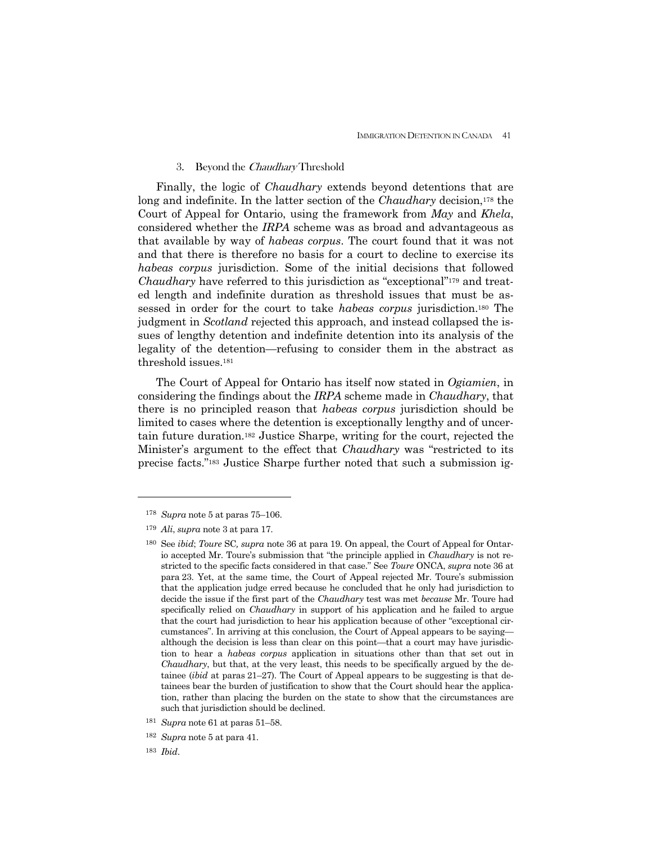#### 3. Beyond the Chaudhary Threshold

 Finally, the logic of *Chaudhary* extends beyond detentions that are long and indefinite. In the latter section of the *Chaudhary* decision,178 the Court of Appeal for Ontario, using the framework from *May* and *Khela*, considered whether the *IRPA* scheme was as broad and advantageous as that available by way of *habeas corpus*. The court found that it was not and that there is therefore no basis for a court to decline to exercise its *habeas corpus* jurisdiction. Some of the initial decisions that followed *Chaudhary* have referred to this jurisdiction as "exceptional"<sup>179</sup> and treated length and indefinite duration as threshold issues that must be assessed in order for the court to take *habeas corpus* jurisdiction.180 The judgment in *Scotland* rejected this approach, and instead collapsed the issues of lengthy detention and indefinite detention into its analysis of the legality of the detention—refusing to consider them in the abstract as threshold issues.181

 The Court of Appeal for Ontario has itself now stated in *Ogiamien*, in considering the findings about the *IRPA* scheme made in *Chaudhary*, that there is no principled reason that *habeas corpus* jurisdiction should be limited to cases where the detention is exceptionally lengthy and of uncertain future duration.182 Justice Sharpe, writing for the court, rejected the Minister's argument to the effect that *Chaudhary* was "restricted to its precise facts."183 Justice Sharpe further noted that such a submission ig-

-

<sup>178</sup> *Supra* note 5 at paras 75–106.

<sup>179</sup> *Ali*, *supra* note 3 at para 17.

<sup>180</sup> See *ibid*; *Toure* SC*, supra* note 36 at para 19. On appeal, the Court of Appeal for Ontario accepted Mr. Toure's submission that "the principle applied in *Chaudhary* is not restricted to the specific facts considered in that case." See *Toure* ONCA, *supra* note 36 at para 23. Yet, at the same time, the Court of Appeal rejected Mr. Toure's submission that the application judge erred because he concluded that he only had jurisdiction to decide the issue if the first part of the *Chaudhary* test was met *because* Mr. Toure had specifically relied on *Chaudhary* in support of his application and he failed to argue that the court had jurisdiction to hear his application because of other "exceptional circumstances". In arriving at this conclusion, the Court of Appeal appears to be saying although the decision is less than clear on this point—that a court may have jurisdiction to hear a *habeas corpus* application in situations other than that set out in *Chaudhary*, but that, at the very least, this needs to be specifically argued by the detainee (*ibid* at paras 21–27). The Court of Appeal appears to be suggesting is that detainees bear the burden of justification to show that the Court should hear the application, rather than placing the burden on the state to show that the circumstances are such that jurisdiction should be declined.

<sup>181</sup> *Supra* note 61 at paras 51–58.

<sup>182</sup> *Supra* note 5 at para 41.

<sup>183</sup> *Ibid*.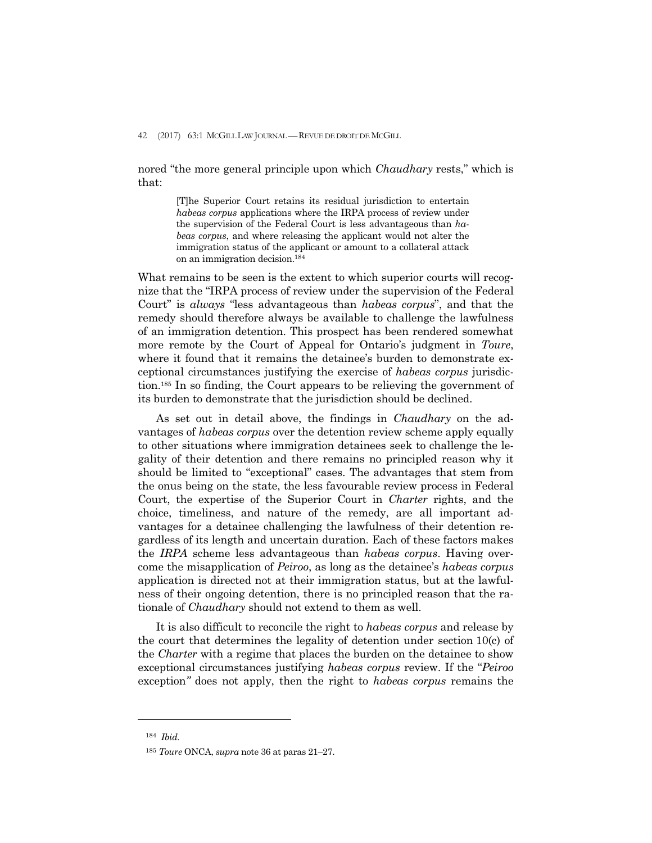nored "the more general principle upon which *Chaudhary* rests," which is that:

> [T]he Superior Court retains its residual jurisdiction to entertain *habeas corpus* applications where the IRPA process of review under the supervision of the Federal Court is less advantageous than *habeas corpus*, and where releasing the applicant would not alter the immigration status of the applicant or amount to a collateral attack on an immigration decision.184

What remains to be seen is the extent to which superior courts will recognize that the "IRPA process of review under the supervision of the Federal Court" is *always* "less advantageous than *habeas corpus*", and that the remedy should therefore always be available to challenge the lawfulness of an immigration detention. This prospect has been rendered somewhat more remote by the Court of Appeal for Ontario's judgment in *Toure*, where it found that it remains the detainee's burden to demonstrate exceptional circumstances justifying the exercise of *habeas corpus* jurisdiction.185 In so finding, the Court appears to be relieving the government of its burden to demonstrate that the jurisdiction should be declined.

 As set out in detail above, the findings in *Chaudhary* on the advantages of *habeas corpus* over the detention review scheme apply equally to other situations where immigration detainees seek to challenge the legality of their detention and there remains no principled reason why it should be limited to "exceptional" cases. The advantages that stem from the onus being on the state, the less favourable review process in Federal Court, the expertise of the Superior Court in *Charter* rights, and the choice, timeliness, and nature of the remedy, are all important advantages for a detainee challenging the lawfulness of their detention regardless of its length and uncertain duration. Each of these factors makes the *IRPA* scheme less advantageous than *habeas corpus*. Having overcome the misapplication of *Peiroo*, as long as the detainee's *habeas corpus* application is directed not at their immigration status, but at the lawfulness of their ongoing detention, there is no principled reason that the rationale of *Chaudhary* should not extend to them as well.

 It is also difficult to reconcile the right to *habeas corpus* and release by the court that determines the legality of detention under section 10(c) of the *Charter* with a regime that places the burden on the detainee to show exceptional circumstances justifying *habeas corpus* review. If the "*Peiroo*  exception*"* does not apply, then the right to *habeas corpus* remains the

<sup>184</sup> *Ibid.*

<sup>185</sup> *Toure* ONCA, *supra* note 36 at paras 21–27.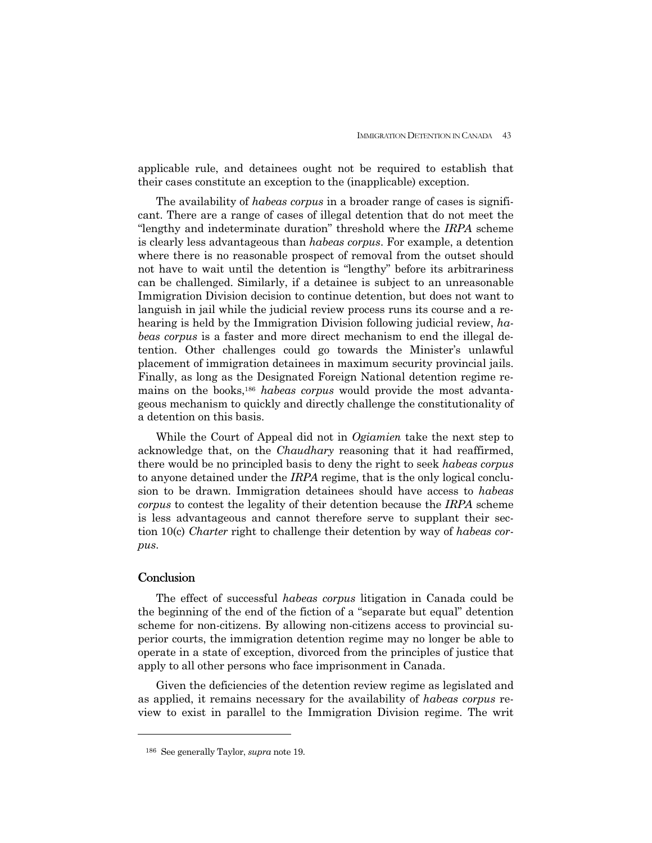applicable rule, and detainees ought not be required to establish that their cases constitute an exception to the (inapplicable) exception.

 The availability of *habeas corpus* in a broader range of cases is significant. There are a range of cases of illegal detention that do not meet the "lengthy and indeterminate duration" threshold where the *IRPA* scheme is clearly less advantageous than *habeas corpus*. For example, a detention where there is no reasonable prospect of removal from the outset should not have to wait until the detention is "lengthy" before its arbitrariness can be challenged. Similarly, if a detainee is subject to an unreasonable Immigration Division decision to continue detention, but does not want to languish in jail while the judicial review process runs its course and a rehearing is held by the Immigration Division following judicial review, *habeas corpus* is a faster and more direct mechanism to end the illegal detention. Other challenges could go towards the Minister's unlawful placement of immigration detainees in maximum security provincial jails. Finally, as long as the Designated Foreign National detention regime remains on the books,186 *habeas corpus* would provide the most advantageous mechanism to quickly and directly challenge the constitutionality of a detention on this basis.

 While the Court of Appeal did not in *Ogiamien* take the next step to acknowledge that, on the *Chaudhary* reasoning that it had reaffirmed, there would be no principled basis to deny the right to seek *habeas corpus*  to anyone detained under the *IRPA* regime, that is the only logical conclusion to be drawn. Immigration detainees should have access to *habeas corpus* to contest the legality of their detention because the *IRPA* scheme is less advantageous and cannot therefore serve to supplant their section 10(c) *Charter* right to challenge their detention by way of *habeas corpus*.

## **Conclusion**

1

 The effect of successful *habeas corpus* litigation in Canada could be the beginning of the end of the fiction of a "separate but equal" detention scheme for non-citizens. By allowing non-citizens access to provincial superior courts, the immigration detention regime may no longer be able to operate in a state of exception, divorced from the principles of justice that apply to all other persons who face imprisonment in Canada.

 Given the deficiencies of the detention review regime as legislated and as applied, it remains necessary for the availability of *habeas corpus* review to exist in parallel to the Immigration Division regime. The writ

<sup>186</sup> See generally Taylor, *supra* note 19.